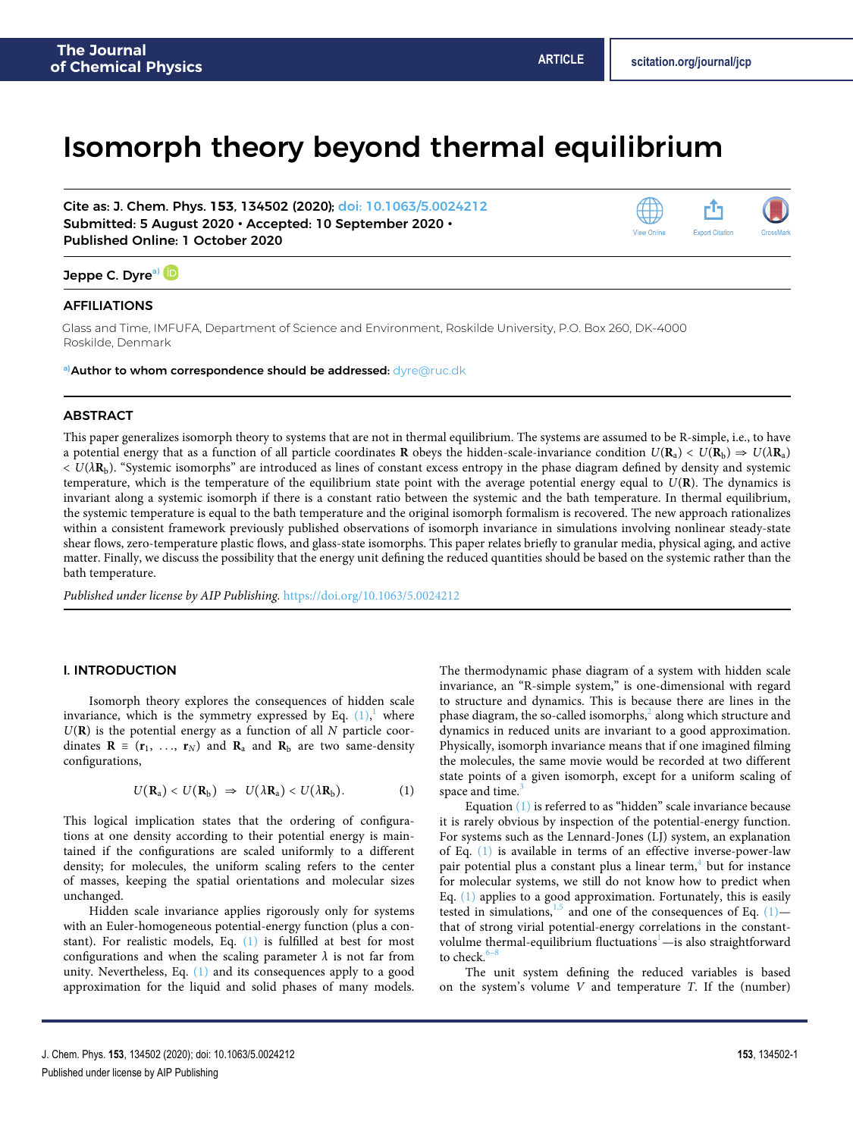# Isomorph theory beyond thermal equilibrium

Cite as: J. Chem. Phys. **153**, 134502 (2020); [doi: 10.1063/5.0024212](https://doi.org/10.1063/5.0024212) Submitted: 5 August 2020 • Accepted: 10 September 2020 • Published Online: 1 October 2020



## Jeppe C. Dyre<sup>[a\)](#page-0-0)</sup>

## AFFILIATIONS

Glass and Time, IMFUFA, Department of Science and Environment, Roskilde University, P.O. Box 260, DK-4000 Roskilde, Denmark

<span id="page-0-0"></span>**a)**Author to whom correspondence should be addressed: [dyre@ruc.dk](mailto:dyre@ruc.dk)

#### ABSTRACT

This paper generalizes isomorph theory to systems that are not in thermal equilibrium. The systems are assumed to be R-simple, i.e., to have a potential energy that as a function of all particle coordinates **R** obeys the hidden-scale-invariance condition  $U(\mathbf{R}_a) < U(\mathbf{R}_b) \Rightarrow U(\lambda \mathbf{R}_a)$  $< U(\lambda \mathbf{R}_b)$ . "Systemic isomorphs" are introduced as lines of constant excess entropy in the phase diagram defined by density and systemic temperature, which is the temperature of the equilibrium state point with the average potential energy equal to U(**R**). The dynamics is invariant along a systemic isomorph if there is a constant ratio between the systemic and the bath temperature. In thermal equilibrium, the systemic temperature is equal to the bath temperature and the original isomorph formalism is recovered. The new approach rationalizes within a consistent framework previously published observations of isomorph invariance in simulations involving nonlinear steady-state shear flows, zero-temperature plastic flows, and glass-state isomorphs. This paper relates briefly to granular media, physical aging, and active matter. Finally, we discuss the possibility that the energy unit defining the reduced quantities should be based on the systemic rather than the bath temperature.

Published under license by AIP Publishing. https://doi.org/10.1063/5.0024212.

## I. INTRODUCTION

Isomorph theory explores the consequences of hidden scale invariance, which is the symmetry expressed by Eq.  $(1)$  $(1)$  $(1)$ , where  $U(R)$  is the potential energy as a function of all  $N$  particle coordinates  $\mathbf{R} \equiv (\mathbf{r}_1, \ldots, \mathbf{r}_N)$  and  $\mathbf{R}_a$  and  $\mathbf{R}_b$  are two same-density configurations,

$$
U(\mathbf{R}_a) < U(\mathbf{R}_b) \Rightarrow U(\lambda \mathbf{R}_a) < U(\lambda \mathbf{R}_b). \tag{1}
$$

This logical implication states that the ordering of configurations at one density according to their potential energy is maintained if the configurations are scaled uniformly to a different density; for molecules, the uniform scaling refers to the center of masses, keeping the spatial orientations and molecular sizes unchanged.

Hidden scale invariance applies rigorously only for systems with an Euler-homogeneous potential-energy function (plus a constant). For realistic models, Eq. [\(1\)](#page-0-1) is fulfilled at best for most configurations and when the scaling parameter  $\lambda$  is not far from unity. Nevertheless, Eq. [\(1\)](#page-0-1) and its consequences apply to a good approximation for the liquid and solid phases of many models.

The thermodynamic phase diagram of a system with hidden scale invariance, an "R-simple system," is one-dimensional with regard to structure and dynamics. This is because there are lines in the phase diagram, the so-called isomorphs, $^2$  $^2$  along which structure and dynamics in reduced units are invariant to a good approximation. Physically, isomorph invariance means that if one imagined filming the molecules, the same movie would be recorded at two different state points of a given isomorph, except for a uniform scaling of space and time.<sup>[3](#page-10-2)</sup>

<span id="page-0-1"></span>Equation [\(1\)](#page-0-1) is referred to as "hidden" scale invariance because it is rarely obvious by inspection of the potential-energy function. For systems such as the Lennard-Jones (LJ) system, an explanation of Eq. [\(1\)](#page-0-1) is available in terms of an effective inverse-power-law pair potential plus a constant plus a linear term,<sup>[4](#page-10-3)</sup> but for instance for molecular systems, we still do not know how to predict when Eq. [\(1\)](#page-0-1) applies to a good approximation. Fortunately, this is easily tested in simulations,  $1.5$  $1.5$  and one of the consequences of Eq. (1) that of strong virial potential-energy correlations in the constantvolulme thermal-equilibrium fluctuations $\dot{-}$  is also straightforward to check.<sup>[6](#page-10-5)</sup>

The unit system defining the reduced variables is based on the system's volume  $V$  and temperature  $T$ . If the (number)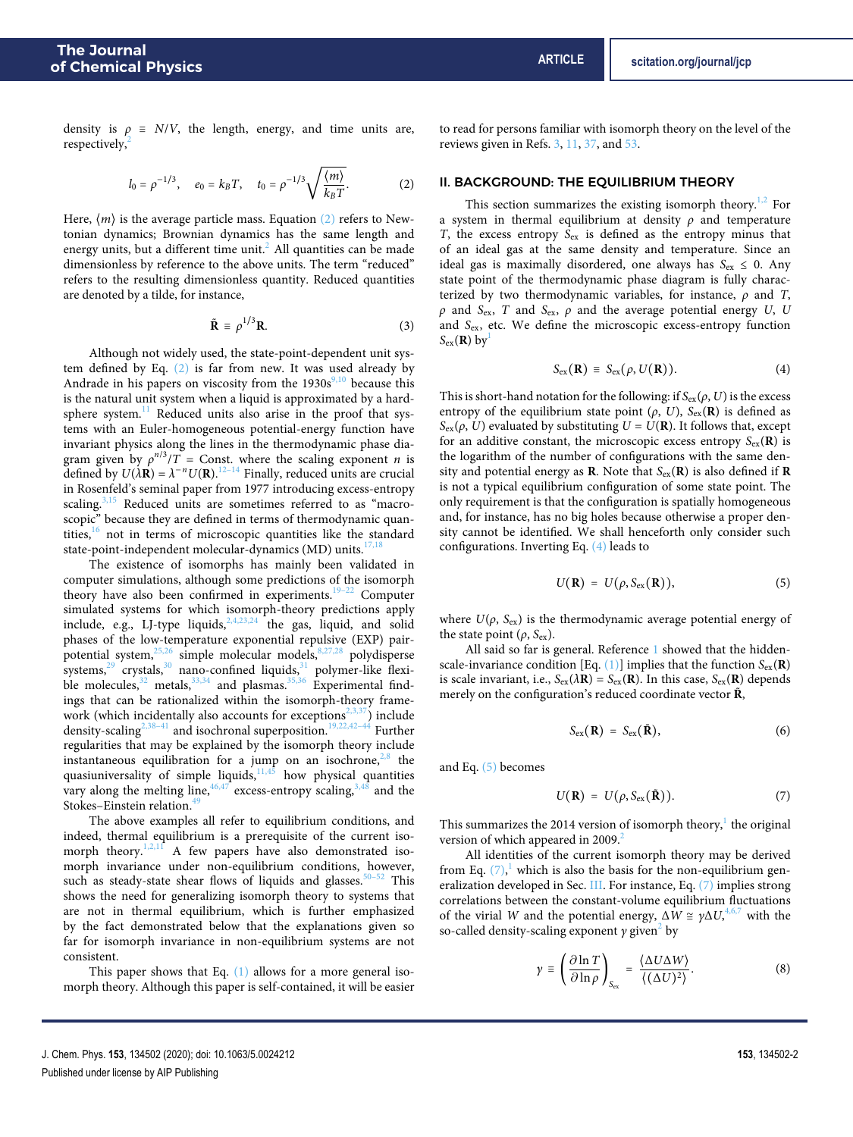density is  $\rho \equiv N/V$ , the length, energy, and time units are, respectively,<sup>[2](#page-10-1)</sup>

$$
l_0 = \rho^{-1/3}
$$
,  $e_0 = k_B T$ ,  $t_0 = \rho^{-1/3} \sqrt{\frac{\langle m \rangle}{k_B T}}$ . (2)

Here,  $\langle m \rangle$  is the average particle mass. Equation [\(2\)](#page-1-0) refers to Newtonian dynamics; Brownian dynamics has the same length and energy units, but a different time unit.<sup>[2](#page-10-1)</sup> All quantities can be made dimensionless by reference to the above units. The term "reduced" refers to the resulting dimensionless quantity. Reduced quantities are denoted by a tilde, for instance,

$$
\tilde{\mathbf{R}} \equiv \rho^{1/3} \mathbf{R}.
$$
 (3)

Although not widely used, the state-point-dependent unit system defined by Eq. [\(2\)](#page-1-0) is far from new. It was used already by Andrade in his papers on viscosity from the  $1930s^{9,10}$  $1930s^{9,10}$  $1930s^{9,10}$  $1930s^{9,10}$  because this is the natural unit system when a liquid is approximated by a hardsphere system. $11$  Reduced units also arise in the proof that systems with an Euler-homogeneous potential-energy function have invariant physics along the lines in the thermodynamic phase diagram given by  $\rho^{n/3}/T =$  Const. where the scaling exponent *n* is defined by  $U(\lambda \mathbf{R}) = \lambda^{-n} U(\mathbf{R}).^{12-14}$  $U(\lambda \mathbf{R}) = \lambda^{-n} U(\mathbf{R}).^{12-14}$  $U(\lambda \mathbf{R}) = \lambda^{-n} U(\mathbf{R}).^{12-14}$  Finally, reduced units are crucial in Rosenfeld's seminal paper from 1977 introducing excess-entropy scaling. $3,15$  $3,15$  Reduced units are sometimes referred to as "macroscopic" because they are defined in terms of thermodynamic quantities, $\frac{16}{16}$  $\frac{16}{16}$  $\frac{16}{16}$  not in terms of microscopic quantities like the standard state-point-independent molecular-dynamics (MD) units. $17,18$  $17,18$ 

The existence of isomorphs has mainly been validated in computer simulations, although some predictions of the isomorph theory have also been confirmed in experiments.<sup>[19](#page-10-16)[–22](#page-10-17)</sup> Computer simulated systems for which isomorph-theory predictions apply include, e.g., LJ-type liquids,  $2,4,23,24$  $2,4,23,24$  $2,4,23,24$  $2,4,23,24$  the gas, liquid, and solid phases of the low-temperature exponential repulsive (EXP) pairpotential system, $25,26$  $25,26$  simple molecular models, $8,27,28$  $8,27,28$  $8,27,28$  polydisperse systems, $29$  crystals, $30$  nano-confined liquids, $31$  polymer-like flexible molecules,  $32$  metals,  $33,34$  $33,34$  and plasmas.  $35,36$  $35,36$  Experimental findings that can be rationalized within the isomorph-theory frame-work (which incidentally also accounts for exceptions<sup>[2](#page-10-1)[,3,](#page-10-2)[37](#page-11-0)</sup>) include density-scaling<sup>[2,](#page-10-1)38-[41](#page-11-2)</sup> and isochronal superposition.<sup>[19](#page-10-16)[,22,](#page-10-17)[42](#page-11-3)-44</sup> Further regularities that may be explained by the isomorph theory include instantaneous equilibration for a jump on an isochrone, $2,8$  $2,8$  the quasiuniversality of simple liquids, $11,45$  $11,45$  how physical quantities vary along the melting line,  $46,47$  $46,47$  excess-entropy scaling,  $3,48$  $3,48$  and the Stokes–Einstein relation.<sup>4</sup>

The above examples all refer to equilibrium conditions, and indeed, thermal equilibrium is a prerequisite of the current iso-morph theory.<sup>[1,](#page-10-0)[2](#page-10-1)[,11](#page-10-9)</sup> A few papers have also demonstrated isomorph invariance under non-equilibrium conditions, however, such as steady-state shear flows of liquids and glasses.<sup>[50–](#page-11-10)[52](#page-11-11)</sup> This shows the need for generalizing isomorph theory to systems that are not in thermal equilibrium, which is further emphasized by the fact demonstrated below that the explanations given so far for isomorph invariance in non-equilibrium systems are not consistent.

This paper shows that Eq. [\(1\)](#page-0-1) allows for a more general isomorph theory. Although this paper is self-contained, it will be easier

to read for persons familiar with isomorph theory on the level of the reviews given in Refs. [3,](#page-10-2) [11,](#page-10-9) [37,](#page-11-0) and [53.](#page-11-12)

## <span id="page-1-0"></span>II. BACKGROUND: THE EQUILIBRIUM THEORY

This section summarizes the existing isomorph theory.<sup>[1](#page-10-0)[,2](#page-10-1)</sup> For a system in thermal equilibrium at density *ρ* and temperature T, the excess entropy  $S_{\text{ex}}$  is defined as the entropy minus that of an ideal gas at the same density and temperature. Since an ideal gas is maximally disordered, one always has  $S_{ex} \le 0$ . Any state point of the thermodynamic phase diagram is fully characterized by two thermodynamic variables, for instance, *ρ* and T,  $ρ$  and S<sub>ex</sub>, T and S<sub>ex</sub>,  $ρ$  and the average potential energy U, U and Sex, etc. We define the microscopic excess-entropy function  $S_{\text{ex}}(\mathbf{R})$  by<sup>[1](#page-10-0)</sup>

<span id="page-1-1"></span>
$$
S_{\text{ex}}(\mathbf{R}) \equiv S_{\text{ex}}(\rho, U(\mathbf{R})). \tag{4}
$$

This is short-hand notation for the following: if  $S_{\text{ex}}(\rho, U)$  is the excess entropy of the equilibrium state point  $(\rho, U)$ ,  $S_{\text{ex}}(R)$  is defined as  $S_{\text{ex}}(\rho, U)$  evaluated by substituting  $U = U(\mathbf{R})$ . It follows that, except for an additive constant, the microscopic excess entropy  $S_{ex}(\mathbf{R})$  is the logarithm of the number of configurations with the same density and potential energy as **R**. Note that  $S_{ex}(\mathbf{R})$  is also defined if **R** is not a typical equilibrium configuration of some state point. The only requirement is that the configuration is spatially homogeneous and, for instance, has no big holes because otherwise a proper density cannot be identified. We shall henceforth only consider such configurations. Inverting Eq. [\(4\)](#page-1-1) leads to

<span id="page-1-2"></span>
$$
U(\mathbf{R}) = U(\rho, S_{\text{ex}}(\mathbf{R})), \qquad (5)
$$

where  $U(\rho, S_{\text{ex}})$  is the thermodynamic average potential energy of the state point  $(\rho, S_{\text{ex}})$ .

All said so far is general. Reference [1](#page-10-0) showed that the hiddenscale-invariance condition [Eq.  $(1)$ ] implies that the function  $S_{ex}(\mathbf{R})$ is scale invariant, i.e.,  $S_{ex}(\lambda \mathbf{R}) = S_{ex}(\mathbf{R})$ . In this case,  $S_{ex}(\mathbf{R})$  depends merely on the configuration's reduced coordinate vector  $\tilde{\mathbf{R}}$ ,

<span id="page-1-4"></span><span id="page-1-3"></span>
$$
S_{\rm ex}(\mathbf{R}) = S_{\rm ex}(\tilde{\mathbf{R}}), \tag{6}
$$

and Eq. [\(5\)](#page-1-2) becomes

$$
U(\mathbf{R}) = U(\rho, S_{\text{ex}}(\tilde{\mathbf{R}})). \tag{7}
$$

This summarizes the 20[1](#page-10-0)4 version of isomorph theory, $^{\rm l}$  the original version of which appeared in [2](#page-10-1)009. $\frac{2}{x}$ 

All identities of the current isomorph theory may be derived from Eq.  $(7)$ , which is also the basis for the non-equilibrium generalization developed in Sec. [III.](#page-2-0) For instance, Eq. [\(7\)](#page-1-3) implies strong correlations between the constant-volume equilibrium fluctuations of the virial W and the potential energy,  $\Delta W \cong \gamma \Delta U,^{4,6,7}$  $\Delta W \cong \gamma \Delta U,^{4,6,7}$  $\Delta W \cong \gamma \Delta U,^{4,6,7}$  $\Delta W \cong \gamma \Delta U,^{4,6,7}$  $\Delta W \cong \gamma \Delta U,^{4,6,7}$  with the so-called density-scaling exponent *γ* given<sup>[2](#page-10-1)</sup> by

<span id="page-1-5"></span>
$$
\gamma \equiv \left(\frac{\partial \ln T}{\partial \ln \rho}\right)_{S_{\text{ex}}} = \frac{\langle \Delta U \Delta W \rangle}{\langle (\Delta U)^2 \rangle}.
$$
 (8)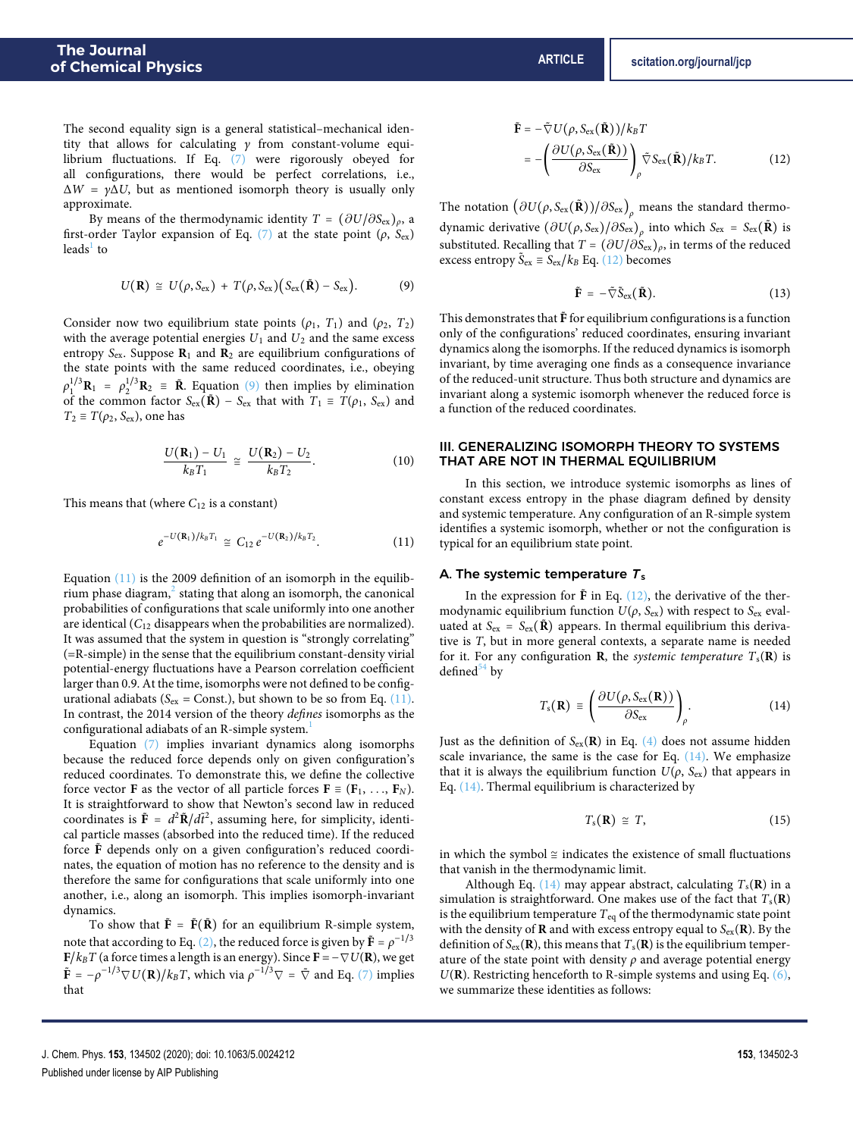The second equality sign is a general statistical–mechanical identity that allows for calculating *γ* from constant-volume equilibrium fluctuations. If Eq. [\(7\)](#page-1-3) were rigorously obeyed for all configurations, there would be perfect correlations, i.e., ΔW = *γ*ΔU, but as mentioned isomorph theory is usually only approximate.

By means of the thermodynamic identity  $T = (\partial U/\partial S_{\text{ex}})_\rho$ , a first-order Taylor expansion of Eq. [\(7\)](#page-1-3) at the state point ( $\rho$ ,  $S_{\rm ex}$ ) leads<sup>[1](#page-10-0)</sup> to

$$
U(\mathbf{R}) \cong U(\rho, S_{\text{ex}}) + T(\rho, S_{\text{ex}}) (S_{\text{ex}}(\tilde{\mathbf{R}}) - S_{\text{ex}}).
$$
 (9)

Consider now two equilibrium state points  $(\rho_1, T_1)$  and  $(\rho_2, T_2)$ with the average potential energies  $U_1$  and  $U_2$  and the same excess entropy Sex. Suppose **R**<sup>1</sup> and **R**<sup>2</sup> are equilibrium configurations of the state points with the same reduced coordinates, i.e., obeying  $\rho_1^{1/3}$ **R**<sub>1</sub> =  $\rho_2^{1/3}$ **R**<sub>2</sub> = **R**<sup>*.*</sup> Equation [\(9\)](#page-2-1) then implies by elimination of the common factor  $S_{ex}(\tilde{\mathbf{R}})$  –  $S_{ex}$  that with  $T_1 \equiv T(\rho_1, S_{ex})$  and  $T_2 \equiv T(\rho_2, S_{\text{ex}})$ , one has

$$
\frac{U(\mathbf{R}_1) - U_1}{k_B T_1} \cong \frac{U(\mathbf{R}_2) - U_2}{k_B T_2}.
$$
 (10)

This means that (where  $C_{12}$  is a constant)

$$
e^{-U(\mathbf{R}_1)/k_B T_1} \cong C_{12} e^{-U(\mathbf{R}_2)/k_B T_2}.
$$
 (11)

Equation  $(11)$  is the 2009 definition of an isomorph in the equilib-rium phase diagram,<sup>[2](#page-10-1)</sup> stating that along an isomorph, the canonical probabilities of configurations that scale uniformly into one another are identical  $(C_{12}$  disappears when the probabilities are normalized). It was assumed that the system in question is "strongly correlating" (=R-simple) in the sense that the equilibrium constant-density virial potential-energy fluctuations have a Pearson correlation coefficient larger than 0.9. At the time, isomorphs were not defined to be configurational adiabats ( $S_{\text{ex}}$  = Const.), but shown to be so from Eq. [\(11\).](#page-2-2) In contrast, the 2014 version of the theory defines isomorphs as the configurational adiabats of an R-simple system.<sup>[1](#page-10-0)</sup>

Equation [\(7\)](#page-1-3) implies invariant dynamics along isomorphs because the reduced force depends only on given configuration's reduced coordinates. To demonstrate this, we define the collective force vector **F** as the vector of all particle forces  $\mathbf{F} \equiv (\mathbf{F}_1, \ldots, \mathbf{F}_N)$ . It is straightforward to show that Newton's second law in reduced coordinates is  $\tilde{\mathbf{F}} = d^2 \tilde{\mathbf{R}} / d\tilde{t}^2$ , assuming here, for simplicity, identical particle masses (absorbed into the reduced time). If the reduced force  $\tilde{F}$  depends only on a given configuration's reduced coordinates, the equation of motion has no reference to the density and is therefore the same for configurations that scale uniformly into one another, i.e., along an isomorph. This implies isomorph-invariant dynamics.

To show that  $\tilde{F} = \tilde{F}(\tilde{R})$  for an equilibrium R-simple system, note that according to Eq. [\(2\),](#page-1-0) the reduced force is given by  $\tilde{\mathbf{F}} = \rho^{-1/3}$ **F**/ $k_B T$  (a force times a length is an energy). Since **F** =  $\nabla U(\mathbf{R})$ , we get  $\tilde{\mathbf{F}} = -\rho^{-1/3}\nabla U(\mathbf{R})/k_BT$ , which via  $\rho^{-1/3}\nabla = \tilde{\nabla}$  and Eq. [\(7\)](#page-1-3) implies that

$$
\tilde{\mathbf{F}} = -\tilde{\nabla} U(\rho, S_{\text{ex}}(\tilde{\mathbf{R}}))/k_B T \n= -\left(\frac{\partial U(\rho, S_{\text{ex}}(\tilde{\mathbf{R}}))}{\partial S_{\text{ex}}}\right)_{\rho} \tilde{\nabla} S_{\text{ex}}(\tilde{\mathbf{R}})/k_B T.
$$
\n(12)

The notation  $\left( \partial U(\rho,S_{\rm ex}(\tilde{\bf R})) / \partial S_{\rm ex} \right)_{\rho}$  means the standard thermodynamic derivative  $(\partial U(\rho, S_{\rm ex})/\partial S_{\rm ex})_\rho$  into which  $S_{\rm ex} = S_{\rm ex}(\tilde{\bf R})$  is substituted. Recalling that  $T = (\partial U/\partial S_{\text{ex}})_\rho$ , in terms of the reduced excess entropy  $\tilde{S}_{ex} \equiv S_{ex}/k_B$  Eq. [\(12\)](#page-2-3) becomes

<span id="page-2-3"></span>
$$
\tilde{\mathbf{F}} = -\tilde{\nabla}\tilde{\mathbf{S}}_{\text{ex}}(\tilde{\mathbf{R}}). \tag{13}
$$

<span id="page-2-1"></span>This demonstrates that  $\mathbf{\tilde{F}}$  for equilibrium configurations is a function only of the configurations' reduced coordinates, ensuring invariant dynamics along the isomorphs. If the reduced dynamics is isomorph invariant, by time averaging one finds as a consequence invariance of the reduced-unit structure. Thus both structure and dynamics are invariant along a systemic isomorph whenever the reduced force is a function of the reduced coordinates.

## <span id="page-2-5"></span><span id="page-2-0"></span>III. GENERALIZING ISOMORPH THEORY TO SYSTEMS THAT ARE NOT IN THERMAL EQUILIBRIUM

In this section, we introduce systemic isomorphs as lines of constant excess entropy in the phase diagram defined by density and systemic temperature. Any configuration of an R-simple system identifies a systemic isomorph, whether or not the configuration is typical for an equilibrium state point.

#### <span id="page-2-2"></span>A. The systemic temperature  $T_s$

In the expression for  $\tilde{F}$  in Eq. [\(12\),](#page-2-3) the derivative of the thermodynamic equilibrium function  $U(\rho, S_{ex})$  with respect to  $S_{ex}$  evaluated at  $S_{\text{ex}} = S_{\text{ex}}(\mathbf{\tilde{R}})$  appears. In thermal equilibrium this derivative is T, but in more general contexts, a separate name is needed for it. For any configuration **R**, the *systemic temperature*  $T_s(\mathbf{R})$  is defined $54$  by

$$
T_{\rm s}(\mathbf{R}) \equiv \left( \frac{\partial U(\rho, S_{\rm ex}(\mathbf{R}))}{\partial S_{\rm ex}} \right)_{\rho}.
$$
 (14)

Just as the definition of  $S_{ex}(\mathbf{R})$  in Eq. [\(4\)](#page-1-1) does not assume hidden scale invariance, the same is the case for Eq.  $(14)$ . We emphasize that it is always the equilibrium function  $U(\rho, S_{ex})$  that appears in Eq. [\(14\).](#page-2-4) Thermal equilibrium is characterized by

<span id="page-2-4"></span>
$$
T_{\rm s}(\mathbf{R}) \cong T,\tag{15}
$$

in which the symbol  $\cong$  indicates the existence of small fluctuations that vanish in the thermodynamic limit.

Although Eq.  $(14)$  may appear abstract, calculating  $T_s(\mathbf{R})$  in a simulation is straightforward. One makes use of the fact that  $T_s(\mathbf{R})$ is the equilibrium temperature  $T_{eq}$  of the thermodynamic state point with the density of **R** and with excess entropy equal to  $S_{ex}(\mathbf{R})$ . By the definition of  $S_{ex}(\mathbf{R})$ , this means that  $T_s(\mathbf{R})$  is the equilibrium temperature of the state point with density *ρ* and average potential energy  $U(R)$ . Restricting henceforth to R-simple systems and using Eq.  $(6)$ , we summarize these identities as follows: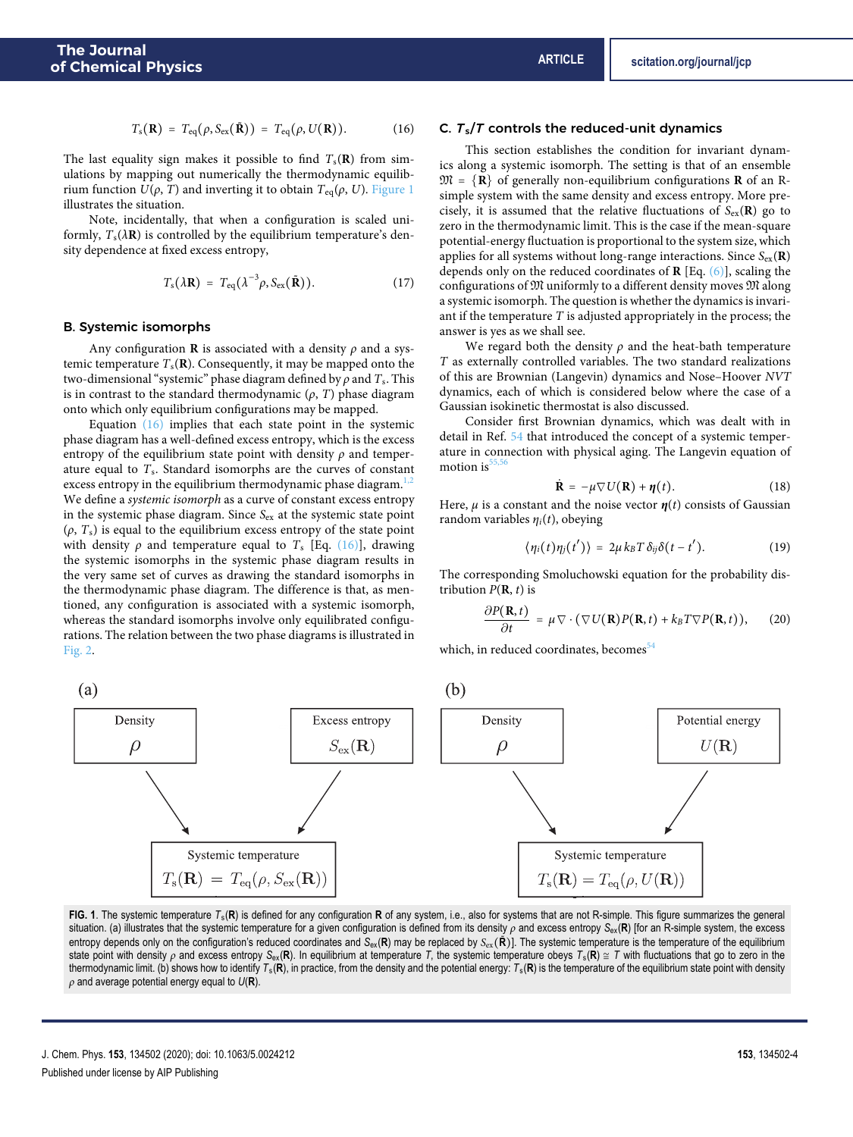$$
T_{\rm s}(\mathbf{R}) = T_{\rm eq}(\rho, S_{\rm ex}(\tilde{\mathbf{R}})) = T_{\rm eq}(\rho, U(\mathbf{R})). \tag{16}
$$

The last equality sign makes it possible to find  $T_s(\mathbf{R})$  from simulations by mapping out numerically the thermodynamic equilibrium function  $U$ ( $ρ$ ,  $T$ ) and inverting it to obtain  $T_{eq}(ρ, U)$ . [Figure 1](#page-3-0) illustrates the situation.

Note, incidentally, that when a configuration is scaled uniformly,  $T_s(\lambda \mathbf{R})$  is controlled by the equilibrium temperature's density dependence at fixed excess entropy,

$$
T_{\rm s}(\lambda \mathbf{R}) = T_{\rm eq}(\lambda^{-3} \rho, S_{\rm ex}(\tilde{\mathbf{R}})). \tag{17}
$$

#### <span id="page-3-2"></span>B. Systemic isomorphs

Any configuration **R** is associated with a density *ρ* and a systemic temperature  $T_s(\mathbf{R})$ . Consequently, it may be mapped onto the two-dimensional "systemic" phase diagram defined by  $\rho$  and  $T_s$ . This is in contrast to the standard thermodynamic  $(\rho, T)$  phase diagram onto which only equilibrium configurations may be mapped.

Equation [\(16\)](#page-3-1) implies that each state point in the systemic phase diagram has a well-defined excess entropy, which is the excess entropy of the equilibrium state point with density *ρ* and temperature equal to  $T_s$ . Standard isomorphs are the curves of constant excess entropy in the equilibrium thermodynamic phase diagram.<sup>[1,](#page-10-0)[2](#page-10-1)</sup> We define a systemic isomorph as a curve of constant excess entropy in the systemic phase diagram. Since  $S_{ex}$  at the systemic state point  $(\rho, T_s)$  is equal to the equilibrium excess entropy of the state point with density  $\rho$  and temperature equal to  $T_s$  [Eq. [\(16\)\]](#page-3-1), drawing the systemic isomorphs in the systemic phase diagram results in the very same set of curves as drawing the standard isomorphs in the thermodynamic phase diagram. The difference is that, as mentioned, any configuration is associated with a systemic isomorph, whereas the standard isomorphs involve only equilibrated configurations. The relation between the two phase diagrams is illustrated in [Fig. 2.](#page-4-0)

### <span id="page-3-3"></span><span id="page-3-1"></span>C.  $T_s/T$  controls the reduced-unit dynamics

This section establishes the condition for invariant dynamics along a systemic isomorph. The setting is that of an ensemble  $\mathfrak{M} = \{ \mathbf{R} \}$  of generally non-equilibrium configurations **R** of an Rsimple system with the same density and excess entropy. More precisely, it is assumed that the relative fluctuations of  $S_{ex}(\mathbf{R})$  go to zero in the thermodynamic limit. This is the case if the mean-square potential-energy fluctuation is proportional to the system size, which applies for all systems without long-range interactions. Since  $S_{ex}(\mathbf{R})$ depends only on the reduced coordinates of **R** [Eq. [\(6\)\]](#page-1-4), scaling the configurations of M uniformly to a different density moves M along a systemic isomorph. The question is whether the dynamics is invariant if the temperature  $T$  is adjusted appropriately in the process; the answer is yes as we shall see.

We regard both the density  $\rho$  and the heat-bath temperature T as externally controlled variables. The two standard realizations of this are Brownian (Langevin) dynamics and Nose–Hoover NVT dynamics, each of which is considered below where the case of a Gaussian isokinetic thermostat is also discussed.

Consider first Brownian dynamics, which was dealt with in detail in Ref. [54](#page-11-13) that introduced the concept of a systemic temperature in connection with physical aging. The Langevin equation of motion is

$$
\dot{\mathbf{R}} = -\mu \nabla U(\mathbf{R}) + \eta(t). \tag{18}
$$

Here,  $\mu$  is a constant and the noise vector  $\eta(t)$  consists of Gaussian random variables *η*i(t), obeying

$$
\langle \eta_i(t) \eta_j(t') \rangle = 2\mu k_B T \delta_{ij} \delta(t-t'). \qquad (19)
$$

The corresponding Smoluchowski equation for the probability distribution  $P(\mathbf{R}, t)$  is

$$
\frac{\partial P(\mathbf{R},t)}{\partial t} = \mu \nabla \cdot (\nabla U(\mathbf{R}) P(\mathbf{R},t) + k_B T \nabla P(\mathbf{R},t)), \quad (20)
$$

which, in reduced coordinates, becomes<sup>[54](#page-11-13)</sup>

(b)

<span id="page-3-0"></span>

**FIG. 1**. The systemic temperature *T*s(**R**) is defined for any configuration **R** of any system, i.e., also for systems that are not R-simple. This figure summarizes the general situation. (a) illustrates that the systemic temperature for a given configuration is defined from its density *ρ* and excess entropy *S*ex(**R**) [for an R-simple system, the excess entropy depends only on the configuration's reduced coordinates and  $S_{ex}(\mathbf{R})$  may be replaced by  $S_{ex}(\mathbf{\hat{R}})$ ]. The systemic temperature is the temperature of the equilibrium state point with density  $\rho$  and excess entropy  $S_{ex}(\mathbf{R})$ . In equilibrium at temperature *T*, the systemic temperature obeys  $T_s(\mathbf{R}) \cong T$  with fluctuations that go to zero in the thermodynamic limit. (b) shows how to identify  $T_s(\mathbf{R})$ , in practice, from the density and the potential energy:  $T_s(\mathbf{R})$  is the temperature of the equilibrium state point with density *ρ* and average potential energy equal to *U*(**R**).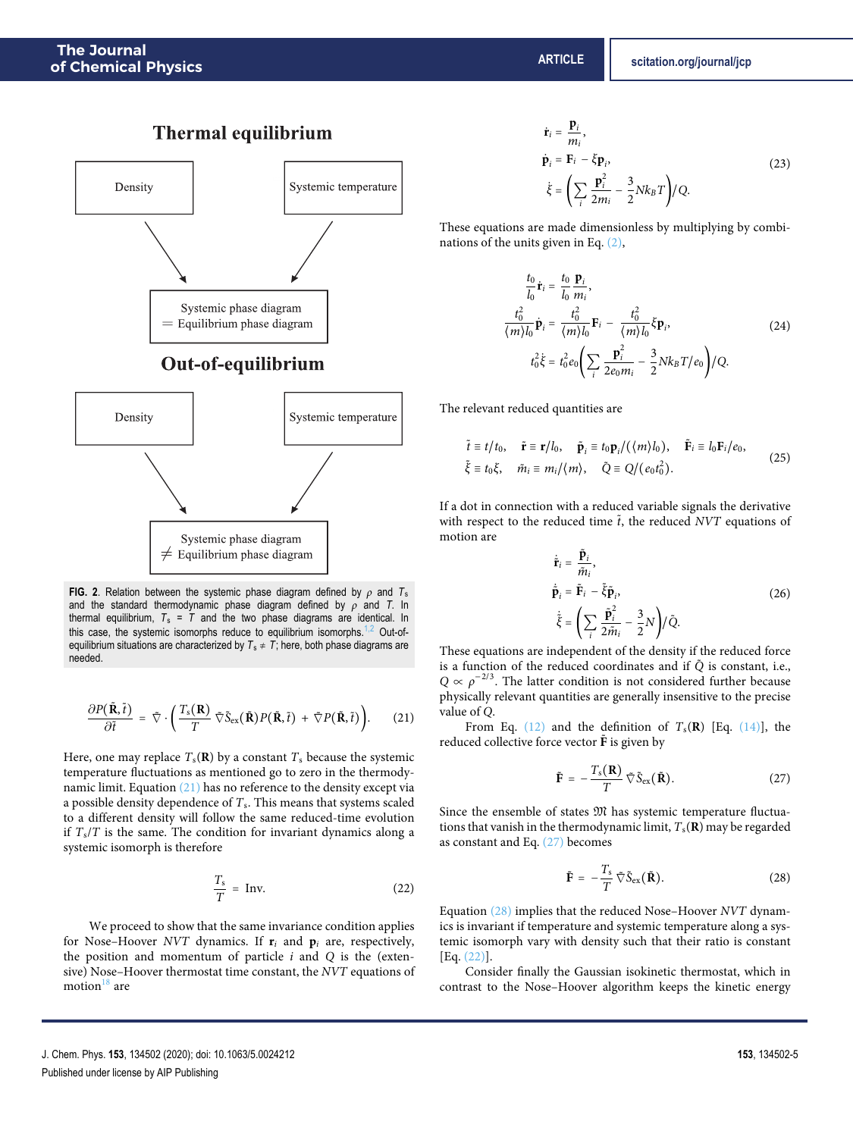<span id="page-4-0"></span>



**FIG. 2**. Relation between the systemic phase diagram defined by  $\rho$  and  $T_s$ and the standard thermodynamic phase diagram defined by *ρ* and *T*. In thermal equilibrium,  $T_s = T$  and the two phase diagrams are identical. In this case, the systemic isomorphs reduce to equilibrium isomorphs.<sup>[1](#page-10-0)[,2](#page-10-1)</sup> Out-ofequilibrium situations are characterized by  $T_s \neq T$ ; here, both phase diagrams are needed.

$$
\frac{\partial P(\tilde{\mathbf{R}},\tilde{t})}{\partial \tilde{t}} = \tilde{\nabla} \cdot \left( \frac{T_s(\mathbf{R})}{T} \tilde{\nabla} \tilde{S}_{ex}(\tilde{\mathbf{R}}) P(\tilde{\mathbf{R}},\tilde{t}) + \tilde{\nabla} P(\tilde{\mathbf{R}},\tilde{t}) \right). \tag{21}
$$

Here, one may replace  $T_s(\mathbf{R})$  by a constant  $T_s$  because the systemic temperature fluctuations as mentioned go to zero in the thermodynamic limit. Equation [\(21\)](#page-4-1) has no reference to the density except via a possible density dependence of  $T_s$ . This means that systems scaled to a different density will follow the same reduced-time evolution if  $T_s/T$  is the same. The condition for invariant dynamics along a systemic isomorph is therefore

$$
\frac{T_s}{T} = \text{Inv.}
$$
 (22)

We proceed to show that the same invariance condition applies for Nose–Hoover NVT dynamics. If  $\mathbf{r}_i$  and  $\mathbf{p}_i$  are, respectively, the position and momentum of particle  $i$  and  $Q$  is the (extensive) Nose–Hoover thermostat time constant, the NVT equations of motion $18$  are

$$
\dot{\mathbf{r}}_i = \frac{\mathbf{p}_i}{m_i},
$$
\n
$$
\dot{\mathbf{p}}_i = \mathbf{F}_i - \xi \mathbf{p}_i,
$$
\n
$$
\dot{\xi} = \left(\sum_i \frac{\mathbf{p}_i^2}{2m_i} - \frac{3}{2} N k_B T\right) / Q.
$$
\n(23)

These equations are made dimensionless by multiplying by combinations of the units given in Eq. [\(2\),](#page-1-0)

$$
\frac{t_0}{l_0}\dot{\mathbf{r}}_i = \frac{t_0}{l_0}\frac{\mathbf{p}_i}{m_i}, \n\frac{t_0^2}{(m)l_0}\dot{\mathbf{p}}_i = \frac{t_0^2}{(m)l_0}\mathbf{F}_i - \frac{t_0^2}{(m)l_0}\xi\mathbf{p}_i, \nt_0^2\dot{\xi} = t_0^2e_0\left(\sum_i\frac{\mathbf{p}_i^2}{2e_0m_i} - \frac{3}{2}Nk_BT/e_0\right)/Q.
$$
\n(24)

The relevant reduced quantities are

$$
\tilde{t} \equiv t/t_0, \quad \tilde{\mathbf{r}} \equiv \mathbf{r}/l_0, \quad \tilde{\mathbf{p}}_i \equiv t_0 \mathbf{p}_i / (\langle m \rangle l_0), \quad \tilde{\mathbf{F}}_i \equiv l_0 \mathbf{F}_i / e_0,
$$
\n
$$
\tilde{\xi} \equiv t_0 \xi, \quad \tilde{m}_i \equiv m_i / \langle m \rangle, \quad \tilde{Q} \equiv Q / (e_0 t_0^2).
$$
\n(25)

If a dot in connection with a reduced variable signals the derivative with respect to the reduced time  $\tilde{t}$ , the reduced NVT equations of motion are

$$
\dot{\tilde{\mathbf{r}}}_{i} = \frac{\tilde{\mathbf{p}}_{i}}{\tilde{m}_{i}},
$$
\n
$$
\dot{\tilde{\mathbf{p}}}_{i} = \tilde{\mathbf{F}}_{i} - \tilde{\xi} \tilde{\mathbf{p}}_{i},
$$
\n
$$
\dot{\tilde{\xi}} = \left(\sum_{i} \frac{\tilde{\mathbf{p}}_{i}^{2}}{2\tilde{m}_{i}} - \frac{3}{2}N\right) / \tilde{Q}.
$$
\n(26)

These equations are independent of the density if the reduced force is a function of the reduced coordinates and if  $\tilde{Q}$  is constant, i.e.,  $Q \propto \rho^{-2/3}$ . The latter condition is not considered further because physically relevant quantities are generally insensitive to the precise value of Q.

<span id="page-4-1"></span>From Eq.  $(12)$  and the definition of  $T_s(\mathbf{R})$  [Eq.  $(14)$ ], the reduced collective force vector  $\tilde{F}$  is given by

<span id="page-4-2"></span>
$$
\tilde{\mathbf{F}} = -\frac{T_{\rm s}(\mathbf{R})}{T} \tilde{\nabla} \tilde{\mathbf{S}}_{\rm ex}(\tilde{\mathbf{R}}). \tag{27}
$$

Since the ensemble of states  $\mathfrak M$  has systemic temperature fluctuations that vanish in the thermodynamic limit,  $T_s(\mathbf{R})$  may be regarded as constant and Eq. [\(27\)](#page-4-2) becomes

<span id="page-4-3"></span>
$$
\tilde{\mathbf{F}} = -\frac{T_s}{T} \tilde{\nabla} \tilde{\mathbf{S}}_{\text{ex}} (\tilde{\mathbf{R}}).
$$
 (28)

<span id="page-4-4"></span>Equation [\(28\)](#page-4-3) implies that the reduced Nose–Hoover NVT dynamics is invariant if temperature and systemic temperature along a systemic isomorph vary with density such that their ratio is constant [Eq. [\(22\)\]](#page-4-4).

Consider finally the Gaussian isokinetic thermostat, which in contrast to the Nose–Hoover algorithm keeps the kinetic energy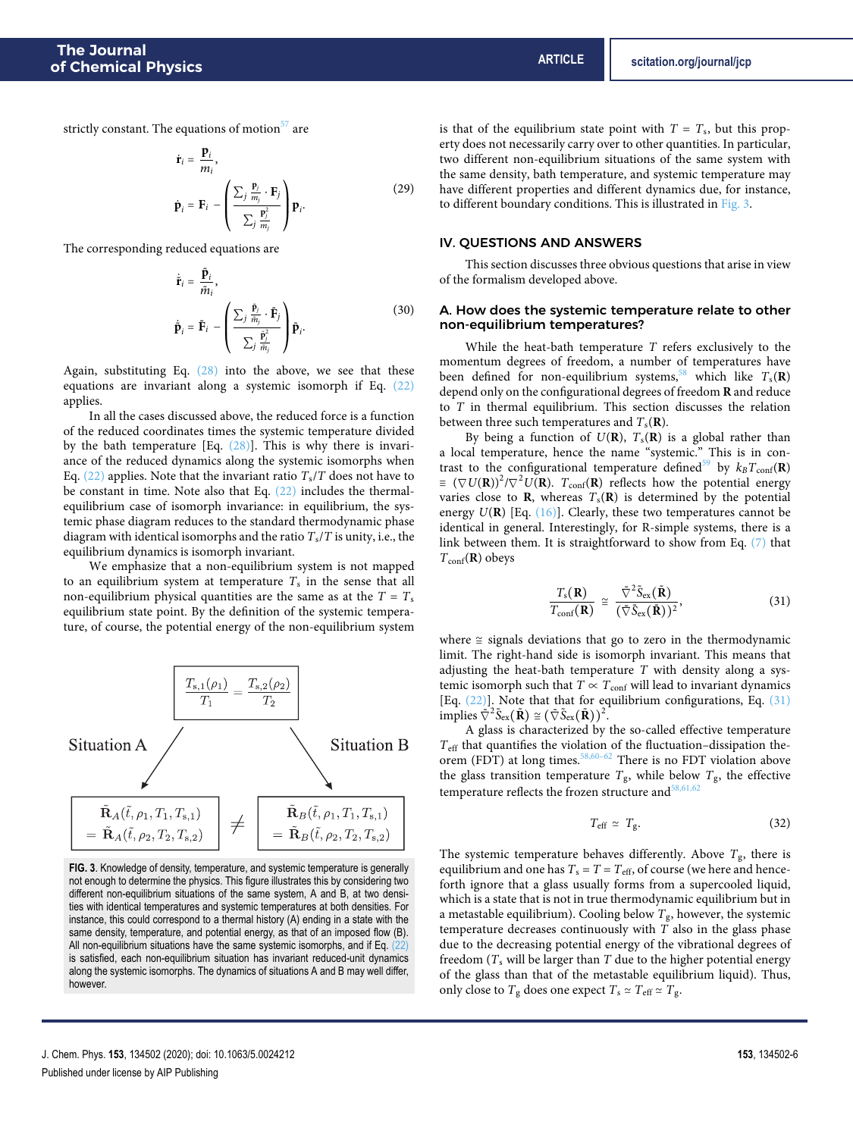strictly constant. The equations of motion $57$  are

$$
\dot{\mathbf{r}}_i = \frac{\mathbf{p}_i}{m_i},
$$
\n
$$
\dot{\mathbf{p}}_i = \mathbf{F}_i - \left(\frac{\sum_j \frac{\mathbf{p}_i}{m_j} \cdot \mathbf{F}_j}{\sum_j \frac{\mathbf{p}_i^2}{m_j}}\right) \mathbf{p}_i.
$$
\n(29)

The corresponding reduced equations are

$$
\dot{\tilde{\mathbf{r}}}_{i} = \frac{\tilde{\mathbf{p}}_{i}}{\tilde{m}_{i}},
$$
\n
$$
\dot{\tilde{\mathbf{p}}}_{i} = \tilde{\mathbf{F}}_{i} - \left(\frac{\sum_{j} \frac{\tilde{\mathbf{p}}_{j}}{\tilde{m}_{j}} \cdot \tilde{\mathbf{F}}_{j}}{\sum_{j} \frac{\tilde{\mathbf{p}}_{j}^{2}}{\tilde{m}_{j}}}\right) \tilde{\mathbf{p}}_{i}.
$$
\n(30)

Again, substituting Eq. [\(28\)](#page-4-3) into the above, we see that these equations are invariant along a systemic isomorph if Eq. [\(22\)](#page-4-4) applies.

In all the cases discussed above, the reduced force is a function of the reduced coordinates times the systemic temperature divided by the bath temperature [Eq.  $(28)$ ]. This is why there is invariance of the reduced dynamics along the systemic isomorphs when Eq. [\(22\)](#page-4-4) applies. Note that the invariant ratio  $T_s/T$  does not have to be constant in time. Note also that Eq.  $(22)$  includes the thermalequilibrium case of isomorph invariance: in equilibrium, the systemic phase diagram reduces to the standard thermodynamic phase diagram with identical isomorphs and the ratio  $T_s/T$  is unity, i.e., the equilibrium dynamics is isomorph invariant.

We emphasize that a non-equilibrium system is not mapped to an equilibrium system at temperature  $T_s$  in the sense that all non-equilibrium physical quantities are the same as at the  $T = T_s$ equilibrium state point. By the definition of the systemic temperature, of course, the potential energy of the non-equilibrium system

<span id="page-5-0"></span>

**FIG. 3**. Knowledge of density, temperature, and systemic temperature is generally not enough to determine the physics. This figure illustrates this by considering two different non-equilibrium situations of the same system, A and B, at two densities with identical temperatures and systemic temperatures at both densities. For instance, this could correspond to a thermal history (A) ending in a state with the same density, temperature, and potential energy, as that of an imposed flow (B). All non-equilibrium situations have the same systemic isomorphs, and if Eq. [\(22\)](#page-4-4) is satisfied, each non-equilibrium situation has invariant reduced-unit dynamics along the systemic isomorphs. The dynamics of situations A and B may well differ, however.

is that of the equilibrium state point with  $T = T_s$ , but this property does not necessarily carry over to other quantities. In particular, two different non-equilibrium situations of the same system with the same density, bath temperature, and systemic temperature may have different properties and different dynamics due, for instance, to different boundary conditions. This is illustrated in [Fig. 3.](#page-5-0)

## IV. QUESTIONS AND ANSWERS

This section discusses three obvious questions that arise in view of the formalism developed above.

### A. How does the systemic temperature relate to other non-equilibrium temperatures?

While the heat-bath temperature  $T$  refers exclusively to the momentum degrees of freedom, a number of temperatures have been defined for non-equilibrium systems,<sup>[58](#page-11-17)</sup> which like  $T_s(\mathbf{R})$ depend only on the configurational degrees of freedom **R** and reduce to T in thermal equilibrium. This section discusses the relation between three such temperatures and  $T_s(\mathbf{R})$ .

By being a function of  $U(\mathbf{R})$ ,  $T_s(\mathbf{R})$  is a global rather than a local temperature, hence the name "systemic." This is in con-trast to the configurational temperature defined<sup>[59](#page-11-18)</sup> by  $k_B T_{\text{conf}}(\mathbf{R})$  $\equiv (\nabla U(\mathbf{R}))^2 / \nabla^2 U(\mathbf{R})$ .  $T_{\text{conf}}(\mathbf{R})$  reflects how the potential energy varies close to **R**, whereas  $T_s(\mathbf{R})$  is determined by the potential energy U(**R**) [Eq. [\(16\)\]](#page-3-1). Clearly, these two temperatures cannot be identical in general. Interestingly, for R-simple systems, there is a link between them. It is straightforward to show from Eq. [\(7\)](#page-1-3) that  $T_{\text{conf}}(\mathbf{R})$  obeys

<span id="page-5-1"></span>
$$
\frac{T_{\rm s}(\mathbf{R})}{T_{\rm conf}(\mathbf{R})} \cong \frac{\tilde{\nabla}^2 \tilde{S}_{\rm ex}(\tilde{\mathbf{R}})}{(\tilde{\nabla} \tilde{S}_{\rm ex}(\tilde{\mathbf{R}}))^2},\tag{31}
$$

where ≅ signals deviations that go to zero in the thermodynamic limit. The right-hand side is isomorph invariant. This means that adjusting the heat-bath temperature  $T$  with density along a systemic isomorph such that  $T \propto T_{\text{conf}}$  will lead to invariant dynamics [Eq. [\(22\)\]](#page-4-4). Note that that for equilibrium configurations, Eq. [\(31\)](#page-5-1) implies  $\tilde{\nabla}^2 \tilde{S}_{\text{ex}}(\tilde{\mathbf{R}}) \cong (\tilde{\nabla} \tilde{S}_{\text{ex}}(\tilde{\mathbf{R}}))^2$ .

A glass is characterized by the so-called effective temperature  $T_{\text{eff}}$  that quantifies the violation of the fluctuation–dissipation the-orem (FDT) at long times.<sup>[58](#page-11-17),60-[62](#page-11-20)</sup> There is no FDT violation above the glass transition temperature  $T_{\rm g}$ , while below  $T_{\rm g}$ , the effective temperature reflects the frozen structure and  $\frac{58,61,62}{3}$  $\frac{58,61,62}{3}$  $\frac{58,61,62}{3}$  $\frac{58,61,62}{3}$  $\frac{58,61,62}{3}$ 

<span id="page-5-2"></span>
$$
T_{\rm eff} \simeq T_{\rm g}. \tag{32}
$$

The systemic temperature behaves differently. Above  $T_g$ , there is equilibrium and one has  $T_{\rm s}$  =  $T$  =  $T_{\rm eff}$  of course (we here and henceforth ignore that a glass usually forms from a supercooled liquid, which is a state that is not in true thermodynamic equilibrium but in a metastable equilibrium). Cooling below  $T_g$ , however, the systemic temperature decreases continuously with  $T$  also in the glass phase due to the decreasing potential energy of the vibrational degrees of freedom  $(T_s$  will be larger than  $T$  due to the higher potential energy of the glass than that of the metastable equilibrium liquid). Thus, only close to  $T_g$  does one expect  $T_s \simeq T_{\text{eff}} \simeq T_g$ .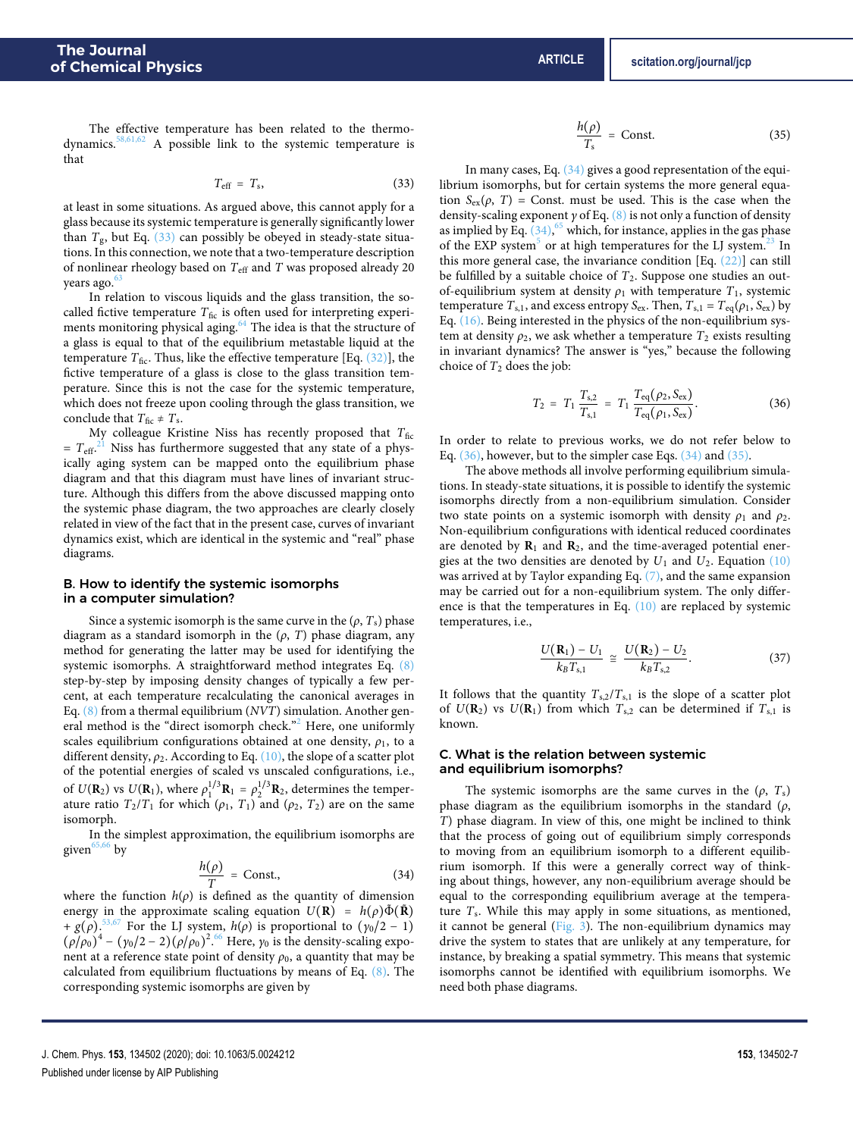The effective temperature has been related to the thermodynamics. $58,61,62$  $58,61,62$  $58,61,62$  A possible link to the systemic temperature is that

$$
T_{\rm eff} = T_{\rm s}, \tag{33}
$$

at least in some situations. As argued above, this cannot apply for a glass because its systemic temperature is generally significantly lower than  $T_g$ , but Eq. [\(33\)](#page-6-0) can possibly be obeyed in steady-state situations. In this connection, we note that a two-temperature description of nonlinear rheology based on  $T_{\text{eff}}$  and  $T$  was proposed already 20 years ago.<sup>6</sup>

In relation to viscous liquids and the glass transition, the socalled fictive temperature  $T_{\text{fic}}$  is often used for interpreting experi-ments monitoring physical aging.<sup>[64](#page-11-23)</sup> The idea is that the structure of a glass is equal to that of the equilibrium metastable liquid at the temperature  $T_{\text{fic}}$ . Thus, like the effective temperature [Eq. [\(32\)\]](#page-5-2), the fictive temperature of a glass is close to the glass transition temperature. Since this is not the case for the systemic temperature, which does not freeze upon cooling through the glass transition, we conclude that  $T_{\text{fic}} \neq T_s$ .

My colleague Kristine Niss has recently proposed that  $T_{\text{fic}}$  $= T<sub>eff</sub><sup>21</sup>$  $= T<sub>eff</sub><sup>21</sup>$  $= T<sub>eff</sub><sup>21</sup>$  Niss has furthermore suggested that any state of a physically aging system can be mapped onto the equilibrium phase diagram and that this diagram must have lines of invariant structure. Although this differs from the above discussed mapping onto the systemic phase diagram, the two approaches are clearly closely related in view of the fact that in the present case, curves of invariant dynamics exist, which are identical in the systemic and "real" phase diagrams.

## <span id="page-6-4"></span>B. How to identify the systemic isomorphs in a computer simulation?

Since a systemic isomorph is the same curve in the  $(\rho, T_s)$  phase diagram as a standard isomorph in the (*ρ*, T) phase diagram, any method for generating the latter may be used for identifying the systemic isomorphs. A straightforward method integrates Eq. [\(8\)](#page-1-5) step-by-step by imposing density changes of typically a few percent, at each temperature recalculating the canonical averages in Eq. [\(8\)](#page-1-5) from a thermal equilibrium (NVT) simulation. Another general method is the "direct isomorph check."[2](#page-10-1) Here, one uniformly scales equilibrium configurations obtained at one density,  $\rho_1$ , to a different density, *ρ*<sub>2</sub>. According to Eq. [\(10\),](#page-2-5) the slope of a scatter plot of the potential energies of scaled vs unscaled configurations, i.e., of  $U(\mathbf{R}_2)$  vs  $U(\mathbf{R}_1)$ , where  $\rho_1^{1/3} \mathbf{R}_1 = \rho_2^{1/3} \mathbf{R}_2$ , determines the temperature ratio  $T_2/T_1$  for which  $(\rho_1, T_1)$  and  $(\rho_2, T_2)$  are on the same isomorph.

In the simplest approximation, the equilibrium isomorphs are given $65,66$  $65,66$  by

$$
\frac{h(\rho)}{T} = \text{Const.},\tag{34}
$$

where the function  $h(\rho)$  is defined as the quantity of dimension energy in the approximate scaling equation  $U(\mathbf{R}) = h(\rho)\tilde{\Phi}(\tilde{\mathbf{R}})$ +  $g(\rho)$ .<sup>[53](#page-11-12)[,67](#page-11-26)</sup> For the LJ system,  $h(\rho)$  is proportional to  $(\gamma_0/2 - 1)$  $(\rho/\rho_0)^4 - (\gamma_0/2 - 2)(\rho/\rho_0)^2$ .<sup>[66](#page-11-25)</sup> Here,  $\gamma_0$  is the density-scaling exponent at a reference state point of density  $\rho_0$ , a quantity that may be calculated from equilibrium fluctuations by means of Eq. [\(8\).](#page-1-5) The corresponding systemic isomorphs are given by

<span id="page-6-3"></span>
$$
\frac{h(\rho)}{T_s} = \text{Const.} \tag{35}
$$

<span id="page-6-0"></span>In many cases, Eq. [\(34\)](#page-6-1) gives a good representation of the equilibrium isomorphs, but for certain systems the more general equation  $S_{ex}(\rho, T)$  = Const. must be used. This is the case when the density-scaling exponent *γ* of Eq. [\(8\)](#page-1-5) is not only a function of density as implied by Eq.  $(34)$ ,  $^{65}$  $^{65}$  $^{65}$  which, for instance, applies in the gas phase of the EXP system<sup>[5](#page-10-4)</sup> or at high temperatures for the LJ system.<sup>[23](#page-10-18)</sup> In this more general case, the invariance condition  $[Eq. (22)]$  $[Eq. (22)]$  can still be fulfilled by a suitable choice of  $T_2$ . Suppose one studies an outof-equilibrium system at density  $\rho_1$  with temperature  $T_1$ , systemic temperature  $T_{s,1}$ , and excess entropy S<sub>ex</sub>. Then,  $T_{s,1} = T_{eq}(\rho_1, S_{ex})$  by Eq. [\(16\).](#page-3-1) Being interested in the physics of the non-equilibrium system at density  $\rho_2$ , we ask whether a temperature  $T_2$  exists resulting in invariant dynamics? The answer is "yes," because the following choice of  $T_2$  does the job:

<span id="page-6-2"></span>
$$
T_2 = T_1 \frac{T_{s,2}}{T_{s,1}} = T_1 \frac{T_{eq}(\rho_2, S_{ex})}{T_{eq}(\rho_1, S_{ex})}.
$$
 (36)

In order to relate to previous works, we do not refer below to Eq. [\(36\),](#page-6-2) however, but to the simpler case Eqs. [\(34\)](#page-6-1) and [\(35\).](#page-6-3)

The above methods all involve performing equilibrium simulations. In steady-state situations, it is possible to identify the systemic isomorphs directly from a non-equilibrium simulation. Consider two state points on a systemic isomorph with density  $\rho_1$  and  $\rho_2$ . Non-equilibrium configurations with identical reduced coordinates are denoted by  $\mathbf{R}_1$  and  $\mathbf{R}_2$ , and the time-averaged potential energies at the two densities are denoted by  $U_1$  and  $U_2$ . Equation [\(10\)](#page-2-5) was arrived at by Taylor expanding Eq. [\(7\),](#page-1-3) and the same expansion may be carried out for a non-equilibrium system. The only difference is that the temperatures in Eq. [\(10\)](#page-2-5) are replaced by systemic temperatures, i.e.,

$$
\frac{U(\mathbf{R}_1) - U_1}{k_B T_{s,1}} \cong \frac{U(\mathbf{R}_2) - U_2}{k_B T_{s,2}}.
$$
 (37)

It follows that the quantity  $T_{s,2}/T_{s,1}$  is the slope of a scatter plot of  $U(\mathbf{R}_2)$  vs  $U(\mathbf{R}_1)$  from which  $T_{s,2}$  can be determined if  $T_{s,1}$  is known.

### C. What is the relation between systemic and equilibrium isomorphs?

<span id="page-6-1"></span>The systemic isomorphs are the same curves in the  $(\rho, T_s)$ phase diagram as the equilibrium isomorphs in the standard (*ρ*, T) phase diagram. In view of this, one might be inclined to think that the process of going out of equilibrium simply corresponds to moving from an equilibrium isomorph to a different equilibrium isomorph. If this were a generally correct way of thinking about things, however, any non-equilibrium average should be equal to the corresponding equilibrium average at the temperature  $T_s$ . While this may apply in some situations, as mentioned, it cannot be general  $(Fig. 3)$ . The non-equilibrium dynamics may drive the system to states that are unlikely at any temperature, for instance, by breaking a spatial symmetry. This means that systemic isomorphs cannot be identified with equilibrium isomorphs. We need both phase diagrams.

J. Chem. Phys. **153**, 134502 (2020); doi: 10.1063/5.0024212 **153**, 134502-7 Published under license by AIP Publishing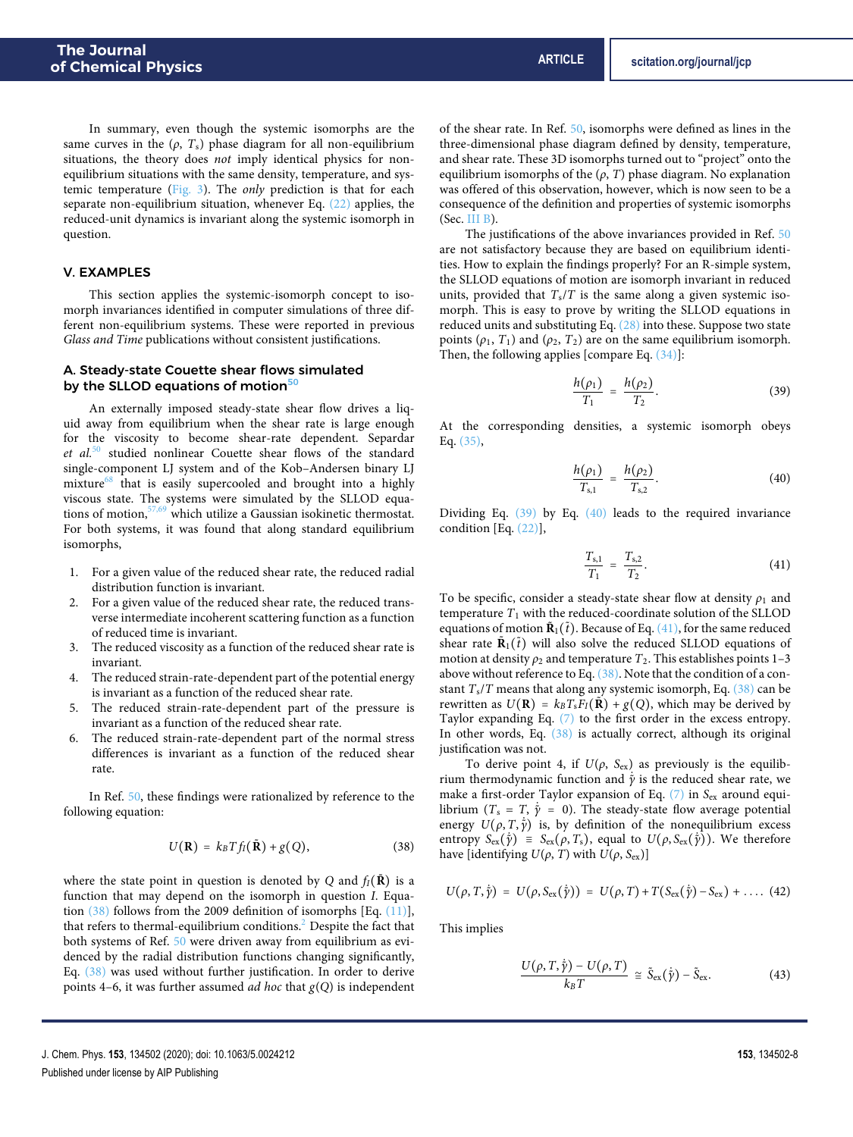In summary, even though the systemic isomorphs are the same curves in the  $(\rho, T_s)$  phase diagram for all non-equilibrium situations, the theory does not imply identical physics for nonequilibrium situations with the same density, temperature, and systemic temperature [\(Fig. 3\)](#page-5-0). The only prediction is that for each separate non-equilibrium situation, whenever Eq. [\(22\)](#page-4-4) applies, the reduced-unit dynamics is invariant along the systemic isomorph in question.

## <span id="page-7-7"></span>V. EXAMPLES

This section applies the systemic-isomorph concept to isomorph invariances identified in computer simulations of three different non-equilibrium systems. These were reported in previous Glass and Time publications without consistent justifications.

## <span id="page-7-6"></span>A. Steady-state Couette shear flows simulated by the SLLOD equations of motion<sup>[50](#page-11-10)</sup>

An externally imposed steady-state shear flow drives a liquid away from equilibrium when the shear rate is large enough for the viscosity to become shear-rate dependent. Separdar et al.<sup>[50](#page-11-10)</sup> studied nonlinear Couette shear flows of the standard single-component LJ system and of the Kob–Andersen binary LJ mixture $^{68}$  $^{68}$  $^{68}$  that is easily supercooled and brought into a highly viscous state. The systems were simulated by the SLLOD equations of motion,[57,](#page-11-16)[69](#page-11-28) which utilize a Gaussian isokinetic thermostat. For both systems, it was found that along standard equilibrium isomorphs,

- 1. For a given value of the reduced shear rate, the reduced radial distribution function is invariant.
- 2. For a given value of the reduced shear rate, the reduced transverse intermediate incoherent scattering function as a function of reduced time is invariant.
- 3. The reduced viscosity as a function of the reduced shear rate is invariant.
- 4. The reduced strain-rate-dependent part of the potential energy is invariant as a function of the reduced shear rate.
- 5. The reduced strain-rate-dependent part of the pressure is invariant as a function of the reduced shear rate.
- 6. The reduced strain-rate-dependent part of the normal stress differences is invariant as a function of the reduced shear rate.

In Ref. [50,](#page-11-10) these findings were rationalized by reference to the following equation:

$$
U(\mathbf{R}) = k_B T f_I(\tilde{\mathbf{R}}) + g(Q), \qquad (38)
$$

where the state point in question is denoted by Q and  $f_I(\tilde{\bf R})$  is a function that may depend on the isomorph in question I. Equation [\(38\)](#page-7-0) follows from the 2009 definition of isomorphs [Eq. [\(11\)\]](#page-2-2), that refers to thermal-equilibrium conditions.<sup>[2](#page-10-1)</sup> Despite the fact that both systems of Ref. [50](#page-11-10) were driven away from equilibrium as evidenced by the radial distribution functions changing significantly, Eq. [\(38\)](#page-7-0) was used without further justification. In order to derive points 4–6, it was further assumed *ad hoc* that  $g(Q)$  is independent

of the shear rate. In Ref. [50,](#page-11-10) isomorphs were defined as lines in the three-dimensional phase diagram defined by density, temperature, and shear rate. These 3D isomorphs turned out to "project" onto the equilibrium isomorphs of the  $(\rho, T)$  phase diagram. No explanation was offered of this observation, however, which is now seen to be a consequence of the definition and properties of systemic isomorphs (Sec. [III B\)](#page-3-2).

The justifications of the above invariances provided in Ref. [50](#page-11-10) are not satisfactory because they are based on equilibrium identities. How to explain the findings properly? For an R-simple system, the SLLOD equations of motion are isomorph invariant in reduced units, provided that  $T_s/T$  is the same along a given systemic isomorph. This is easy to prove by writing the SLLOD equations in reduced units and substituting Eq.  $(28)$  into these. Suppose two state points ( $\rho_1$ ,  $T_1$ ) and ( $\rho_2$ ,  $T_2$ ) are on the same equilibrium isomorph. Then, the following applies [compare Eq. [\(34\)\]](#page-6-1):

<span id="page-7-1"></span>
$$
\frac{h(\rho_1)}{T_1} = \frac{h(\rho_2)}{T_2}.
$$
 (39)

At the corresponding densities, a systemic isomorph obeys Eq. [\(35\),](#page-6-3)

<span id="page-7-2"></span>
$$
\frac{h(\rho_1)}{T_{s,1}} = \frac{h(\rho_2)}{T_{s,2}}.
$$
\n(40)

Dividing Eq. [\(39\)](#page-7-1) by Eq. [\(40\)](#page-7-2) leads to the required invariance condition [Eq. [\(22\)\]](#page-4-4),

<span id="page-7-3"></span>
$$
\frac{T_{s,1}}{T_1} = \frac{T_{s,2}}{T_2}.
$$
\n(41)

To be specific, consider a steady-state shear flow at density  $\rho_1$  and temperature  $T_1$  with the reduced-coordinate solution of the SLLOD equations of motion  $\tilde{\textbf{R}}_1(\tilde{t})$ . Because of Eq. [\(41\),](#page-7-3) for the same reduced shear rate  $\tilde{\mathbf{R}}_1(\tilde{t})$  will also solve the reduced SLLOD equations of motion at density  $\rho_2$  and temperature  $T_2$ . This establishes points 1–3 above without reference to Eq.  $(38)$ . Note that the condition of a constant  $T_s/T$  means that along any systemic isomorph, Eq. [\(38\)](#page-7-0) can be rewritten as  $U(\mathbf{R}) = k_B T_s F_I(\mathbf{R}) + g(Q)$ , which may be derived by Taylor expanding Eq. [\(7\)](#page-1-3) to the first order in the excess entropy. In other words, Eq. [\(38\)](#page-7-0) is actually correct, although its original justification was not.

To derive point 4, if  $U(\rho, S_{ex})$  as previously is the equilibrium thermodynamic function and  $\dot{y}$  is the reduced shear rate, we make a first-order Taylor expansion of Eq.  $(7)$  in S<sub>ex</sub> around equilibrium ( $T_s = T$ ,  $\dot{\tilde{\gamma}} = 0$ ). The steady-state flow average potential energy  $U(\rho, T, \dot{\tilde{\gamma}})$  is, by definition of the nonequilibrium excess entropy  $S_{\text{ex}}(\tilde{\gamma}) \equiv S_{\text{ex}}(\rho, T_s)$ , equal to  $U(\rho, S_{\text{ex}}(\tilde{\gamma}))$ . We therefore have [identifying  $U(\rho, T)$  with  $U(\rho, S_{\text{ex}})$ ]

<span id="page-7-0"></span>
$$
U(\rho, T, \dot{\tilde{\gamma}}) = U(\rho, S_{\text{ex}}(\dot{\tilde{\gamma}})) = U(\rho, T) + T(S_{\text{ex}}(\dot{\tilde{\gamma}}) - S_{\text{ex}}) + \dots (42)
$$

This implies

<span id="page-7-5"></span><span id="page-7-4"></span>
$$
\frac{U(\rho, T, \dot{\tilde{\gamma}}) - U(\rho, T)}{k_B T} \cong \tilde{S}_{\text{ex}}(\dot{\tilde{\gamma}}) - \tilde{S}_{\text{ex}}.
$$
 (43)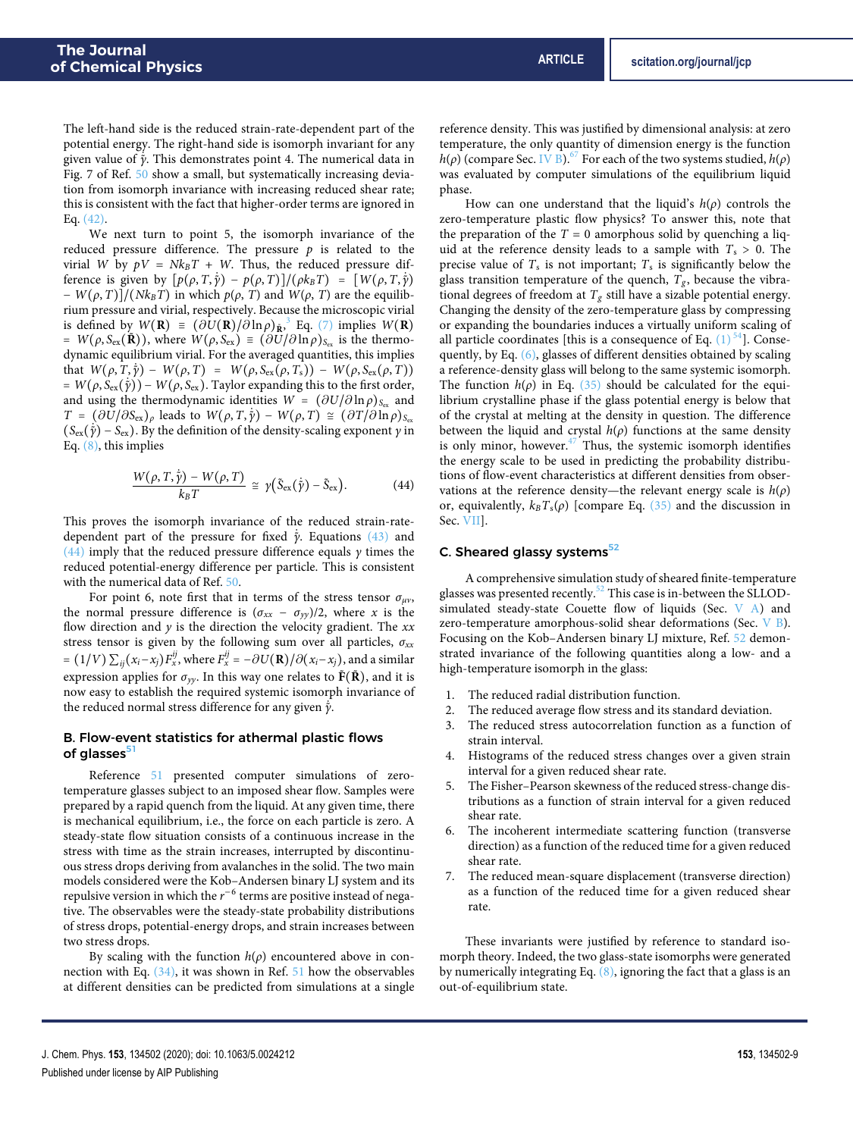The left-hand side is the reduced strain-rate-dependent part of the potential energy. The right-hand side is isomorph invariant for any given value of ˙*γ*˜. This demonstrates point 4. The numerical data in Fig. 7 of Ref. [50](#page-11-10) show a small, but systematically increasing deviation from isomorph invariance with increasing reduced shear rate; this is consistent with the fact that higher-order terms are ignored in Eq. [\(42\).](#page-7-4)

We next turn to point 5, the isomorph invariance of the reduced pressure difference. The pressure  $p$  is related to the virial W by  $pV = Nk_BT + W$ . Thus, the reduced pressure difference is given by  $[p(\rho, T, \dot{\tilde{\gamma}}) - p(\rho, T)]/(\rho k_B T) = [W(\rho, T, \dot{\tilde{\gamma}})]$  $- W(\rho, T)]/(Nk_B T)$  in which  $p(\rho, T)$  and  $W(\rho, T)$  are the equilibrium pressure and virial, respectively. Because the microscopic virial is defined by  $W(\mathbf{R}) = (\partial U(\mathbf{R})/\partial \ln \rho)_{\tilde{\mathbf{R}}},^3$  $W(\mathbf{R}) = (\partial U(\mathbf{R})/\partial \ln \rho)_{\tilde{\mathbf{R}}},^3$  Eq. [\(7\)](#page-1-3) implies  $W(\mathbf{R})$  $= W(\rho, S_{\text{ex}}(\tilde{\mathbf{R}}))$ , where  $W(\rho, S_{\text{ex}}) \equiv (\partial U/\partial \ln \rho)_{S_{\text{ex}}}$  is the thermodynamic equilibrium virial. For the averaged quantities, this implies that  $W(\rho, T, \tilde{\gamma}) - W(\rho, T) = W(\rho, S_{\text{ex}}(\rho, T_s)) - W(\rho, S_{\text{ex}}(\rho, T))$  $= W(\rho, S_{\text{ex}}(\dot{\gamma})) - W(\rho, S_{\text{ex}})$ . Taylor expanding this to the first order, and using the thermodynamic identities  $W = (\partial U / \partial \ln \rho)_{S_{\text{ex}}}$  and  $T = (\partial U/\partial S_{\rm ex})_\rho$  leads to  $W(\rho, T, \tilde{\gamma}) - W(\rho, T) \cong (\partial T/\partial \ln \rho)_{S_{\rm ex}}$  $(S_{ex}(\tilde{\gamma}) - S_{ex})$ . By the definition of the density-scaling exponent *γ* in Eq.  $(8)$ , this implies

$$
\frac{W(\rho, T, \dot{\tilde{\gamma}}) - W(\rho, T)}{k_B T} \cong \gamma (\tilde{S}_{\text{ex}}(\dot{\tilde{\gamma}}) - \tilde{S}_{\text{ex}}).
$$
 (44)

This proves the isomorph invariance of the reduced strain-ratedependent part of the pressure for fixed  $\dot{y}$ . Equations [\(43\)](#page-7-5) and [\(44\)](#page-8-0) imply that the reduced pressure difference equals *γ* times the reduced potential-energy difference per particle. This is consistent with the numerical data of Ref. [50.](#page-11-10)

For point 6, note first that in terms of the stress tensor  $\sigma_{\mu\nu}$ , the normal pressure difference is  $(\sigma_{xx} - \sigma_{yy})/2$ , where x is the flow direction and  $y$  is the direction the velocity gradient. The  $xx$ stress tensor is given by the following sum over all particles,  $\sigma_{xx}$ =  $(1/V)\sum_{ij} (x_i-x_j)F_x^{ij}$ , where  $F_x^{ij}$  =  $-\partial U({\bf R})/\partial (x_i-x_j)$ , and a similar expression applies for  $\sigma_{yy}$ . In this way one relates to  $\tilde{F}(\tilde{R})$ , and it is now easy to establish the required systemic isomorph invariance of the reduced normal stress difference for any given  $\dot{γ}$ .

## <span id="page-8-1"></span>B. Flow-event statistics for athermal plastic flows of glasses<sup>[51](#page-11-29)</sup>

Reference [51](#page-11-29) presented computer simulations of zerotemperature glasses subject to an imposed shear flow. Samples were prepared by a rapid quench from the liquid. At any given time, there is mechanical equilibrium, i.e., the force on each particle is zero. A steady-state flow situation consists of a continuous increase in the stress with time as the strain increases, interrupted by discontinuous stress drops deriving from avalanches in the solid. The two main models considered were the Kob–Andersen binary LJ system and its repulsive version in which the  $r^{-6}$  terms are positive instead of negative. The observables were the steady-state probability distributions of stress drops, potential-energy drops, and strain increases between two stress drops.

By scaling with the function  $h(\rho)$  encountered above in connection with Eq. [\(34\),](#page-6-1) it was shown in Ref. [51](#page-11-29) how the observables at different densities can be predicted from simulations at a single reference density. This was justified by dimensional analysis: at zero temperature, the only quantity of dimension energy is the function  $h(\rho)$  (compare Sec. [IV B\)](#page-6-4).<sup>[67](#page-11-26)</sup> For each of the two systems studied,  $h(\rho)$ was evaluated by computer simulations of the equilibrium liquid phase.

How can one understand that the liquid's h(*ρ*) controls the zero-temperature plastic flow physics? To answer this, note that the preparation of the  $T = 0$  amorphous solid by quenching a liquid at the reference density leads to a sample with  $T_s > 0$ . The precise value of  $T_s$  is not important;  $T_s$  is significantly below the glass transition temperature of the quench,  $T_g$ , because the vibrational degrees of freedom at  $T_g$  still have a sizable potential energy. Changing the density of the zero-temperature glass by compressing or expanding the boundaries induces a virtually uniform scaling of all particle coordinates [this is a consequence of Eq.  $(1)^{54}$  $(1)^{54}$  $(1)^{54}$  $(1)^{54}$ ]. Consequently, by Eq. [\(6\),](#page-1-4) glasses of different densities obtained by scaling a reference-density glass will belong to the same systemic isomorph. The function  $h(\rho)$  in Eq. [\(35\)](#page-6-3) should be calculated for the equilibrium crystalline phase if the glass potential energy is below that of the crystal at melting at the density in question. The difference between the liquid and crystal  $h(\rho)$  functions at the same density is only minor, however. $47$  Thus, the systemic isomorph identifies the energy scale to be used in predicting the probability distributions of flow-event characteristics at different densities from observations at the reference density—the relevant energy scale is  $h(\rho)$ or, equivalently,  $k_B T_s(\rho)$  [compare Eq. [\(35\)](#page-6-3) and the discussion in Sec. [VII\]](#page-9-0).

## <span id="page-8-0"></span>C. Sheared glassy systems<sup>[52](#page-11-11)</sup>

A comprehensive simulation study of sheared finite-temperature glasses was presented recently.<sup>[52](#page-11-11)</sup> This case is in-between the SLLODsimulated steady-state Couette flow of liquids (Sec.  $V$  A) and zero-temperature amorphous-solid shear deformations (Sec. [V B\)](#page-8-1). Focusing on the Kob–Andersen binary LJ mixture, Ref. [52](#page-11-11) demonstrated invariance of the following quantities along a low- and a high-temperature isomorph in the glass:

- 1. The reduced radial distribution function.
- 2. The reduced average flow stress and its standard deviation.
- 3. The reduced stress autocorrelation function as a function of strain interval.
- 4. Histograms of the reduced stress changes over a given strain interval for a given reduced shear rate.
- 5. The Fisher–Pearson skewness of the reduced stress-change distributions as a function of strain interval for a given reduced shear rate.
- 6. The incoherent intermediate scattering function (transverse direction) as a function of the reduced time for a given reduced shear rate.
- 7. The reduced mean-square displacement (transverse direction) as a function of the reduced time for a given reduced shear rate.

These invariants were justified by reference to standard isomorph theory. Indeed, the two glass-state isomorphs were generated by numerically integrating Eq. [\(8\),](#page-1-5) ignoring the fact that a glass is an out-of-equilibrium state.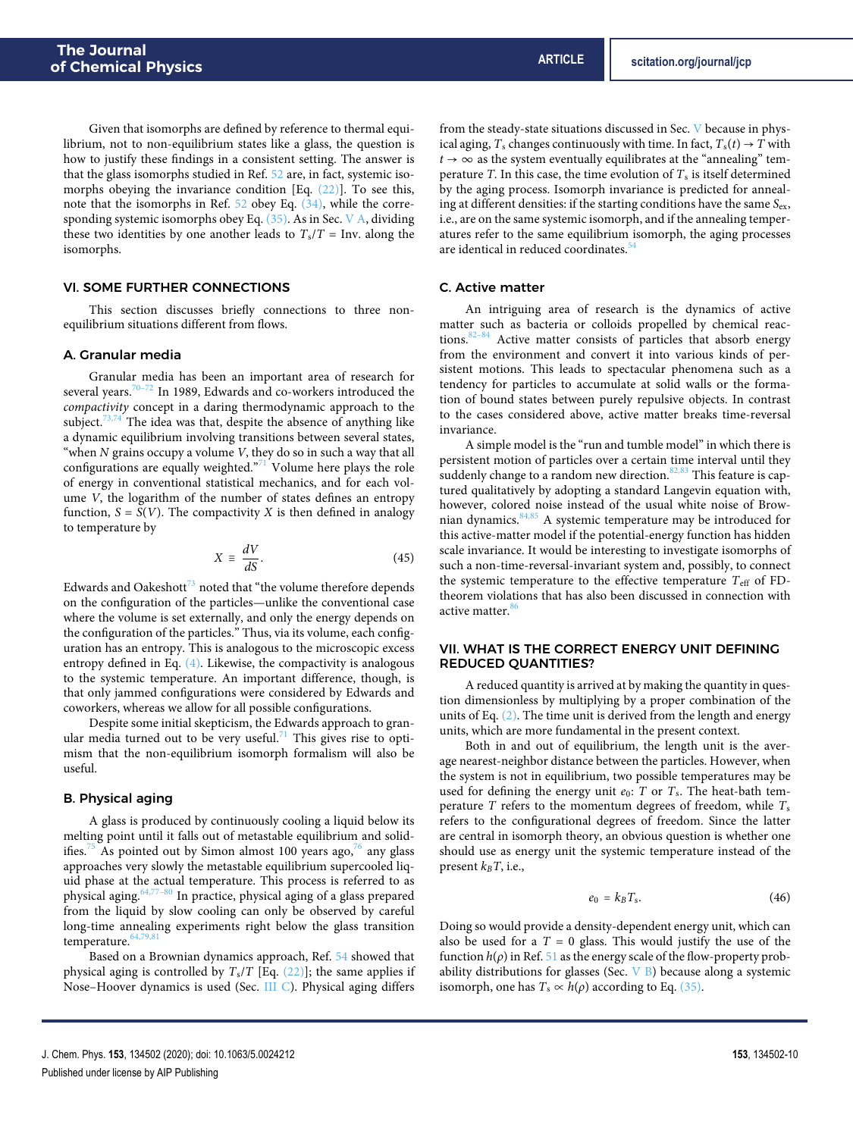Given that isomorphs are defined by reference to thermal equilibrium, not to non-equilibrium states like a glass, the question is how to justify these findings in a consistent setting. The answer is that the glass isomorphs studied in Ref. [52](#page-11-11) are, in fact, systemic isomorphs obeying the invariance condition [Eq. [\(22\)\]](#page-4-4). To see this, note that the isomorphs in Ref. [52](#page-11-11) obey Eq. [\(34\),](#page-6-1) while the corresponding systemic isomorphs obey Eq. [\(35\).](#page-6-3) As in Sec. [V A,](#page-7-6) dividing these two identities by one another leads to  $T_s/T = Inv$ . along the isomorphs.

## VI. SOME FURTHER CONNECTIONS

This section discusses briefly connections to three nonequilibrium situations different from flows.

### A. Granular media

Granular media has been an important area of research for several years.<sup>[70–](#page-11-30)[72](#page-11-31)</sup> In 1989, Edwards and co-workers introduced the compactivity concept in a daring thermodynamic approach to the subject. $73,74$  $73,74$  The idea was that, despite the absence of anything like a dynamic equilibrium involving transitions between several states, "when  $N$  grains occupy a volume  $V$ , they do so in such a way that all configurations are equally weighted."<sup>[71](#page-11-34)</sup> Volume here plays the role of energy in conventional statistical mechanics, and for each volume V, the logarithm of the number of states defines an entropy function,  $S = S(V)$ . The compactivity X is then defined in analogy to temperature by

$$
X \equiv \frac{dV}{dS}.\tag{45}
$$

Edwards and Oakeshott<sup>[73](#page-11-32)</sup> noted that "the volume therefore depends" on the configuration of the particles—unlike the conventional case where the volume is set externally, and only the energy depends on the configuration of the particles." Thus, via its volume, each configuration has an entropy. This is analogous to the microscopic excess entropy defined in Eq. [\(4\).](#page-1-1) Likewise, the compactivity is analogous to the systemic temperature. An important difference, though, is that only jammed configurations were considered by Edwards and coworkers, whereas we allow for all possible configurations.

Despite some initial skepticism, the Edwards approach to gran-ular media turned out to be very useful.<sup>[71](#page-11-34)</sup> This gives rise to optimism that the non-equilibrium isomorph formalism will also be useful.

### B. Physical aging

A glass is produced by continuously cooling a liquid below its melting point until it falls out of metastable equilibrium and solid-ifies.<sup>[75](#page-11-35)</sup> As pointed out by Simon almost 100 years ago,<sup>[76](#page-11-36)</sup> any glass approaches very slowly the metastable equilibrium supercooled liquid phase at the actual temperature. This process is referred to as physical aging. $64,77-80$  $64,77-80$  $64,77-80$  In practice, physical aging of a glass prepared from the liquid by slow cooling can only be observed by careful long-time annealing experiments right below the glass transition temperature.<sup>64</sup>

Based on a Brownian dynamics approach, Ref. [54](#page-11-13) showed that physical aging is controlled by  $T_s/T$  [Eq. [\(22\)\]](#page-4-4); the same applies if Nose–Hoover dynamics is used (Sec. [III C\)](#page-3-3). Physical aging differs

from the steady-state situations discussed in Sec. [V](#page-7-7) because in physical aging,  $T_s$  changes continuously with time. In fact,  $T_s(t) \rightarrow T$  with  $t \rightarrow \infty$  as the system eventually equilibrates at the "annealing" temperature T. In this case, the time evolution of  $T_s$  is itself determined by the aging process. Isomorph invariance is predicted for annealing at different densities: if the starting conditions have the same  $S_{ex}$ , i.e., are on the same systemic isomorph, and if the annealing temperatures refer to the same equilibrium isomorph, the aging processes are identical in reduced coordinates.<sup>5</sup>

#### C. Active matter

An intriguing area of research is the dynamics of active matter such as bacteria or colloids propelled by chemical reac-tions.<sup>[82](#page-11-41)-84</sup> Active matter consists of particles that absorb energy from the environment and convert it into various kinds of persistent motions. This leads to spectacular phenomena such as a tendency for particles to accumulate at solid walls or the formation of bound states between purely repulsive objects. In contrast to the cases considered above, active matter breaks time-reversal invariance.

A simple model is the "run and tumble model" in which there is persistent motion of particles over a certain time interval until they suddenly change to a random new direction. $82,83$  $82,83$  This feature is captured qualitatively by adopting a standard Langevin equation with, however, colored noise instead of the usual white noise of Brownian dynamics.[84,](#page-11-42)[85](#page-11-44) A systemic temperature may be introduced for this active-matter model if the potential-energy function has hidden scale invariance. It would be interesting to investigate isomorphs of such a non-time-reversal-invariant system and, possibly, to connect the systemic temperature to the effective temperature  $T_{\text{eff}}$  of FDtheorem violations that has also been discussed in connection with active matter.<sup>8</sup>

## <span id="page-9-0"></span>VII. WHAT IS THE CORRECT ENERGY UNIT DEFINING REDUCED QUANTITIES?

A reduced quantity is arrived at by making the quantity in question dimensionless by multiplying by a proper combination of the units of Eq.  $(2)$ . The time unit is derived from the length and energy units, which are more fundamental in the present context.

Both in and out of equilibrium, the length unit is the average nearest-neighbor distance between the particles. However, when the system is not in equilibrium, two possible temperatures may be used for defining the energy unit  $e_0$ : T or  $T_s$ . The heat-bath temperature  $T$  refers to the momentum degrees of freedom, while  $T_s$ refers to the configurational degrees of freedom. Since the latter are central in isomorph theory, an obvious question is whether one should use as energy unit the systemic temperature instead of the present  $k_BT$ , i.e.,

$$
e_0 = k_B T_s. \tag{46}
$$

Doing so would provide a density-dependent energy unit, which can also be used for a  $T = 0$  glass. This would justify the use of the function  $h(\rho)$  in Ref. [51](#page-11-29) as the energy scale of the flow-property probability distributions for glasses (Sec.  $V$  B) because along a systemic isomorph, one has  $T_s \propto h(\rho)$  according to Eq. [\(35\).](#page-6-3)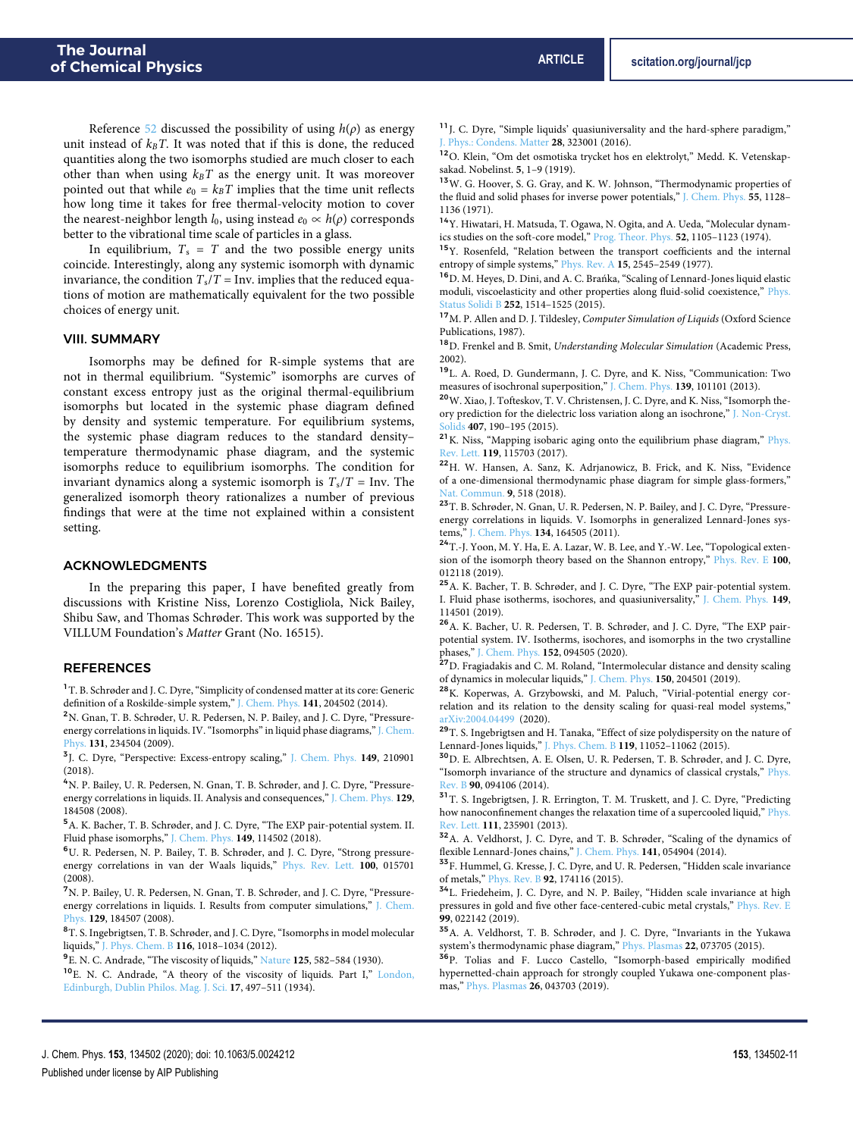Reference [52](#page-11-11) discussed the possibility of using  $h(\rho)$  as energy unit instead of  $k_B T$ . It was noted that if this is done, the reduced quantities along the two isomorphs studied are much closer to each other than when using  $k_B T$  as the energy unit. It was moreover pointed out that while  $e_0 = k_B T$  implies that the time unit reflects how long time it takes for free thermal-velocity motion to cover the nearest-neighbor length  $l_0$ , using instead  $e_0 \propto h(\rho)$  corresponds better to the vibrational time scale of particles in a glass.

In equilibrium,  $T_s = T$  and the two possible energy units coincide. Interestingly, along any systemic isomorph with dynamic invariance, the condition  $T_s/T = Inv$ . implies that the reduced equations of motion are mathematically equivalent for the two possible choices of energy unit.

#### VIII. SUMMARY

Isomorphs may be defined for R-simple systems that are not in thermal equilibrium. "Systemic" isomorphs are curves of constant excess entropy just as the original thermal-equilibrium isomorphs but located in the systemic phase diagram defined by density and systemic temperature. For equilibrium systems, the systemic phase diagram reduces to the standard density– temperature thermodynamic phase diagram, and the systemic isomorphs reduce to equilibrium isomorphs. The condition for invariant dynamics along a systemic isomorph is  $T_s/T = \text{Inv}$ . The generalized isomorph theory rationalizes a number of previous findings that were at the time not explained within a consistent setting.

### ACKNOWLEDGMENTS

In the preparing this paper, I have benefited greatly from discussions with Kristine Niss, Lorenzo Costigliola, Nick Bailey, Shibu Saw, and Thomas Schrøder. This work was supported by the VILLUM Foundation's Matter Grant (No. 16515).

## REFERENCES

<span id="page-10-0"></span><sup>1</sup> T. B. Schrøder and J. C. Dyre, "Simplicity of condensed matter at its core: Generic definition of a Roskilde-simple system," [J. Chem. Phys.](https://doi.org/10.1063/1.4901215) **141**, 204502 (2014).

<span id="page-10-1"></span><sup>2</sup>N. Gnan, T. B. Schrøder, U. R. Pedersen, N. P. Bailey, and J. C. Dyre, "Pressureenergy correlations in liquids. IV. "Isomorphs" in liquid phase diagrams," [J. Chem.](https://doi.org/10.1063/1.3265957) [Phys.](https://doi.org/10.1063/1.3265957) **131**, 234504 (2009).

<span id="page-10-2"></span>3 J. C. Dyre, "Perspective: Excess-entropy scaling," [J. Chem. Phys.](https://doi.org/10.1063/1.5055064) **149**, 210901  $(2018)$ 

<span id="page-10-3"></span><sup>4</sup>N. P. Bailey, U. R. Pedersen, N. Gnan, T. B. Schrøder, and J. C. Dyre, "Pressureenergy correlations in liquids. II. Analysis and consequences," [J. Chem. Phys.](https://doi.org/10.1063/1.2982249) **129**, 184508 (2008).

<span id="page-10-4"></span><sup>5</sup>A. K. Bacher, T. B. Schrøder, and J. C. Dyre, "The EXP pair-potential system. II. Fluid phase isomorphs," [J. Chem. Phys.](https://doi.org/10.1063/1.5043548) **149**, 114502 (2018).

<span id="page-10-5"></span><sup>6</sup>U. R. Pedersen, N. P. Bailey, T. B. Schrøder, and J. C. Dyre, "Strong pressureenergy correlations in van der Waals liquids," [Phys. Rev. Lett.](https://doi.org/10.1103/physrevlett.100.015701) **100**, 015701 (2008).

<span id="page-10-32"></span><sup>7</sup>N. P. Bailey, U. R. Pedersen, N. Gnan, T. B. Schrøder, and J. C. Dyre, "Pressureenergy correlations in liquids. I. Results from computer simulations," [J. Chem.](https://doi.org/10.1063/1.2982247) [Phys.](https://doi.org/10.1063/1.2982247) **129**, 184507 (2008).

<span id="page-10-6"></span><sup>8</sup>T. S. Ingebrigtsen, T. B. Schrøder, and J. C. Dyre, "Isomorphs in model molecular liquids," [J. Phys. Chem. B](https://doi.org/10.1021/jp2077402) **116**, 1018–1034 (2012).

<span id="page-10-7"></span>9 E. N. C. Andrade, "The viscosity of liquids," [Nature](https://doi.org/10.1038/125582a0) **125**, 582–584 (1930).

<span id="page-10-8"></span><sup>10</sup>E. N. C. Andrade, "A theory of the viscosity of liquids. Part I," [London,](https://doi.org/10.1080/14786443409462409) [Edinburgh, Dublin Philos. Mag. J. Sci.](https://doi.org/10.1080/14786443409462409) **17**, 497–511 (1934).

<span id="page-10-9"></span><sup>11</sup> J. C. Dyre, "Simple liquids' quasiuniversality and the hard-sphere paradigm," [J. Phys.: Condens. Matter](https://doi.org/10.1088/0953-8984/28/32/323001) **28**, 323001 (2016).

<span id="page-10-10"></span><sup>12</sup>O. Klein, "Om det osmotiska trycket hos en elektrolyt," Medd. K. Vetenskapsakad. Nobelinst. **5**, 1–9 (1919).

<sup>13</sup>W. G. Hoover, S. G. Gray, and K. W. Johnson, "Thermodynamic properties of the fluid and solid phases for inverse power potentials," [J. Chem. Phys.](https://doi.org/10.1063/1.1676196) **55**, 1128– 1136 (1971).

<span id="page-10-11"></span><sup>14</sup>Y. Hiwatari, H. Matsuda, T. Ogawa, N. Ogita, and A. Ueda, "Molecular dynamics studies on the soft-core model," [Prog. Theor. Phys.](https://doi.org/10.1143/ptp.52.1105) **52**, 1105–1123 (1974).

<span id="page-10-12"></span><sup>15</sup>Y. Rosenfeld, "Relation between the transport coefficients and the internal entropy of simple systems," [Phys. Rev. A](https://doi.org/10.1103/physreva.15.2545) **15**, 2545–2549 (1977).

<span id="page-10-13"></span> $^{16}{\rm D}$  M. Heyes, D. Dini, and A. C. Branka, "Scaling of Lennard-Jones liquid elastic moduli, viscoelasticity and other properties along fluid-solid coexistence," [Phys.](https://doi.org/10.1002/pssb.201451695) [Status Solidi B](https://doi.org/10.1002/pssb.201451695) **252**, 1514–1525 (2015).

<span id="page-10-14"></span> $^{17}{\rm M}$ . P. Allen and D. J. Tildesley, Computer Simulation of Liquids (Oxford Science Publications, 1987).

<span id="page-10-15"></span><sup>18</sup>D. Frenkel and B. Smit, Understanding Molecular Simulation (Academic Press, 2002).

<span id="page-10-16"></span><sup>19</sup>L. A. Roed, D. Gundermann, J. C. Dyre, and K. Niss, "Communication: Two measures of isochronal superposition," [J. Chem. Phys.](https://doi.org/10.1063/1.4821163) **139**, 101101 (2013).

<sup>20</sup>W. Xiao, J. Tofteskov, T. V. Christensen, J. C. Dyre, and K. Niss, "Isomorph theory prediction for the dielectric loss variation along an isochrone," [J. Non-Cryst.](https://doi.org/10.1016/j.jnoncrysol.2014.08.041) [Solids](https://doi.org/10.1016/j.jnoncrysol.2014.08.041) **407**, 190–195 (2015).

<span id="page-10-33"></span><sup>21</sup> K. Niss, "Mapping isobaric aging onto the equilibrium phase diagram," [Phys.](https://doi.org/10.1103/physrevlett.119.115703) [Rev. Lett.](https://doi.org/10.1103/physrevlett.119.115703) **119**, 115703 (2017).

<span id="page-10-17"></span><sup>22</sup>H. W. Hansen, A. Sanz, K. Adrjanowicz, B. Frick, and K. Niss, "Evidence of a one-dimensional thermodynamic phase diagram for simple glass-formers," [Nat. Commun.](https://doi.org/10.1038/s41467-017-02324-3) **9**, 518 (2018).

<span id="page-10-18"></span><sup>23</sup>T. B. Schrøder, N. Gnan, U. R. Pedersen, N. P. Bailey, and J. C. Dyre, "Pressureenergy correlations in liquids. V. Isomorphs in generalized Lennard-Jones systems," [J. Chem. Phys.](https://doi.org/10.1063/1.3582900) **134**, 164505 (2011).

<span id="page-10-19"></span><sup>24</sup>T.-J. Yoon, M. Y. Ha, E. A. Lazar, W. B. Lee, and Y.-W. Lee, "Topological extension of the isomorph theory based on the Shannon entropy," [Phys. Rev. E](https://doi.org/10.1103/physreve.100.012118) **100**, 012118 (2019).

<span id="page-10-20"></span><sup>25</sup>A. K. Bacher, T. B. Schrøder, and J. C. Dyre, "The EXP pair-potential system. I. Fluid phase isotherms, isochores, and quasiuniversality," [J. Chem. Phys.](https://doi.org/10.1063/1.5043546) **149**, 114501 (2019).

<span id="page-10-21"></span><sup>26</sup>A. K. Bacher, U. R. Pedersen, T. B. Schrøder, and J. C. Dyre, "The EXP pairpotential system. IV. Isotherms, isochores, and isomorphs in the two crystalline phases," [J. Chem. Phys.](https://doi.org/10.1063/1.5144871) **152**, 094505 (2020).

<span id="page-10-22"></span><sup>27</sup>D. Fragiadakis and C. M. Roland, "Intermolecular distance and density scaling of dynamics in molecular liquids," [J. Chem. Phys.](https://doi.org/10.1063/1.5098455) **150**, 204501 (2019).

<span id="page-10-23"></span><sup>28</sup>K. Koperwas, A. Grzybowski, and M. Paluch, "Virial-potential energy correlation and its relation to the density scaling for quasi-real model systems," [arXiv:2004.04499](http://arxiv.org/abs/2004.04499) (2020).

<span id="page-10-24"></span><sup>29</sup>T. S. Ingebrigtsen and H. Tanaka, "Effect of size polydispersity on the nature of Lennard-Jones liquids," [J. Phys. Chem. B](https://doi.org/10.1021/acs.jpcb.5b02329) **119**, 11052–11062 (2015).

<span id="page-10-25"></span><sup>30</sup>D. E. Albrechtsen, A. E. Olsen, U. R. Pedersen, T. B. Schrøder, and J. C. Dyre, "Isomorph invariance of the structure and dynamics of classical crystals," [Phys.](https://doi.org/10.1103/physrevb.90.094106) [Rev. B](https://doi.org/10.1103/physrevb.90.094106) **90**, 094106 (2014).

<span id="page-10-26"></span><sup>31</sup>T. S. Ingebrigtsen, J. R. Errington, T. M. Truskett, and J. C. Dyre, "Predicting how nanoconfinement changes the relaxation time of a supercooled liquid," [Phys.](https://doi.org/10.1103/physrevlett.111.235901) [Rev. Lett.](https://doi.org/10.1103/physrevlett.111.235901) **111**, 235901 (2013).

<span id="page-10-27"></span><sup>32</sup>A. A. Veldhorst, J. C. Dyre, and T. B. Schrøder, "Scaling of the dynamics of flexible Lennard-Jones chains," [J. Chem. Phys.](https://doi.org/10.1063/1.4888564) **141**, 054904 (2014).

<span id="page-10-28"></span><sup>33</sup>F. Hummel, G. Kresse, J. C. Dyre, and U. R. Pedersen, "Hidden scale invariance of metals," [Phys. Rev. B](https://doi.org/10.1103/physrevb.92.174116) **92**, 174116 (2015).

<span id="page-10-29"></span><sup>34</sup>L. Friedeheim, J. C. Dyre, and N. P. Bailey, "Hidden scale invariance at high pressures in gold and five other face-centered-cubic metal crystals," [Phys. Rev. E](https://doi.org/10.1103/physreve.99.022142) **99**, 022142 (2019).

<span id="page-10-30"></span><sup>35</sup>A. A. Veldhorst, T. B. Schrøder, and J. C. Dyre, "Invariants in the Yukawa system's thermodynamic phase diagram," [Phys. Plasmas](https://doi.org/10.1063/1.4926822) **22**, 073705 (2015).

<span id="page-10-31"></span><sup>36</sup>P. Tolias and F. Lucco Castello, "Isomorph-based empirically modified hypernetted-chain approach for strongly coupled Yukawa one-component plasmas," [Phys. Plasmas](https://doi.org/10.1063/1.5089663) **26**, 043703 (2019).